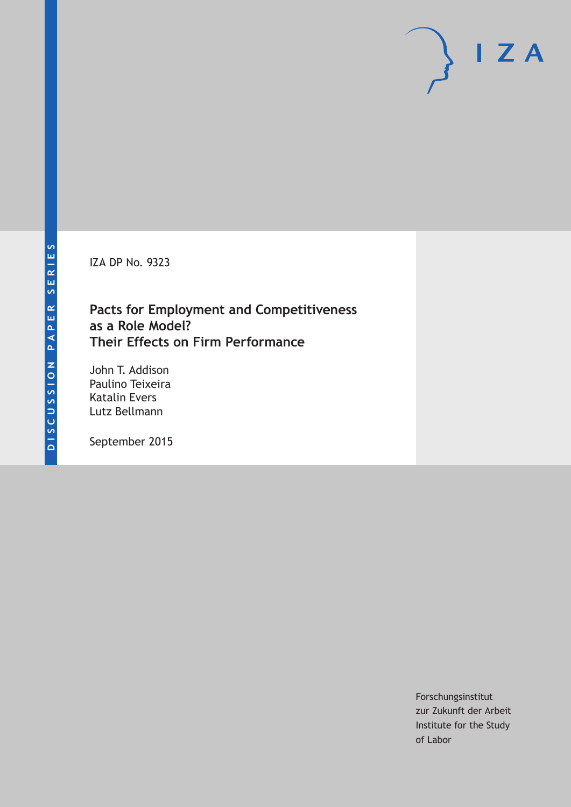IZA DP No. 9323

# **Pacts for Employment and Competitiveness as a Role Model? Their Effects on Firm Performance**

John T. Addison Paulino Teixeira Katalin Evers Lutz Bellmann

September 2015

Forschungsinstitut zur Zukunft der Arbeit Institute for the Study of Labor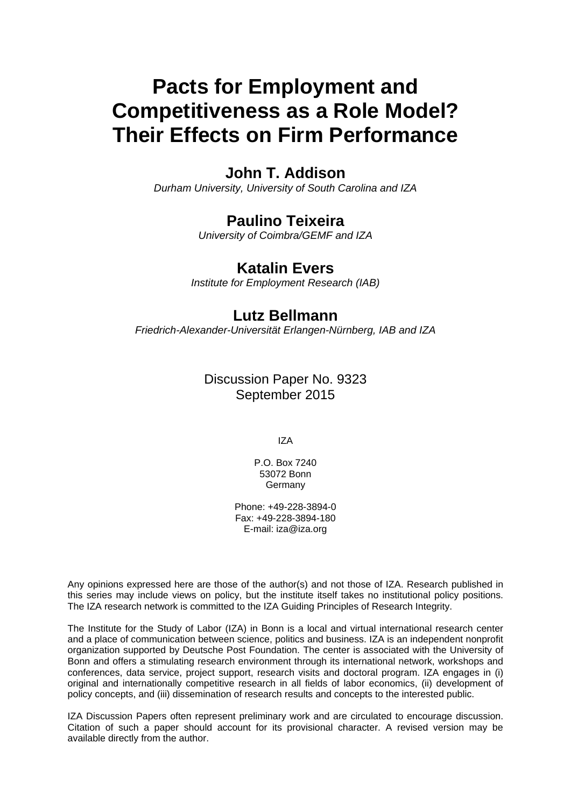# **Pacts for Employment and Competitiveness as a Role Model? Their Effects on Firm Performance**

# **John T. Addison**

*Durham University, University of South Carolina and IZA* 

# **Paulino Teixeira**

*University of Coimbra/GEMF and IZA* 

### **Katalin Evers**

*Institute for Employment Research (IAB)*

## **Lutz Bellmann**

*Friedrich-Alexander-Universität Erlangen-Nürnberg, IAB and IZA*

### Discussion Paper No. 9323 September 2015

IZA

P.O. Box 7240 53072 Bonn Germany

Phone: +49-228-3894-0 Fax: +49-228-3894-180 E-mail: iza@iza.org

Any opinions expressed here are those of the author(s) and not those of IZA. Research published in this series may include views on policy, but the institute itself takes no institutional policy positions. The IZA research network is committed to the IZA Guiding Principles of Research Integrity.

The Institute for the Study of Labor (IZA) in Bonn is a local and virtual international research center and a place of communication between science, politics and business. IZA is an independent nonprofit organization supported by Deutsche Post Foundation. The center is associated with the University of Bonn and offers a stimulating research environment through its international network, workshops and conferences, data service, project support, research visits and doctoral program. IZA engages in (i) original and internationally competitive research in all fields of labor economics, (ii) development of policy concepts, and (iii) dissemination of research results and concepts to the interested public.

IZA Discussion Papers often represent preliminary work and are circulated to encourage discussion. Citation of such a paper should account for its provisional character. A revised version may be available directly from the author.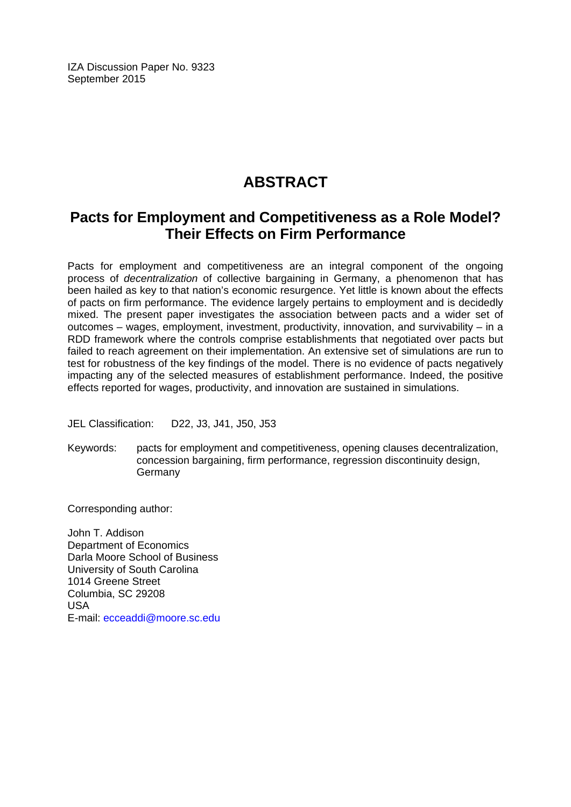IZA Discussion Paper No. 9323 September 2015

# **ABSTRACT**

# **Pacts for Employment and Competitiveness as a Role Model? Their Effects on Firm Performance**

Pacts for employment and competitiveness are an integral component of the ongoing process of *decentralization* of collective bargaining in Germany, a phenomenon that has been hailed as key to that nation's economic resurgence. Yet little is known about the effects of pacts on firm performance. The evidence largely pertains to employment and is decidedly mixed. The present paper investigates the association between pacts and a wider set of outcomes – wages, employment, investment, productivity, innovation, and survivability – in a RDD framework where the controls comprise establishments that negotiated over pacts but failed to reach agreement on their implementation. An extensive set of simulations are run to test for robustness of the key findings of the model. There is no evidence of pacts negatively impacting any of the selected measures of establishment performance. Indeed, the positive effects reported for wages, productivity, and innovation are sustained in simulations.

JEL Classification: D22, J3, J41, J50, J53

Keywords: pacts for employment and competitiveness, opening clauses decentralization, concession bargaining, firm performance, regression discontinuity design, Germany

Corresponding author:

John T. Addison Department of Economics Darla Moore School of Business University of South Carolina 1014 Greene Street Columbia, SC 29208 USA E-mail: ecceaddi@moore.sc.edu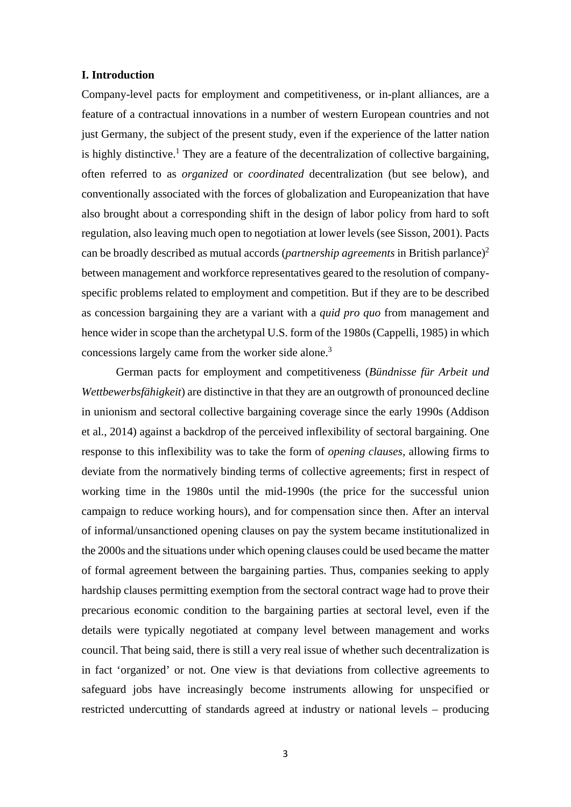#### **I. Introduction**

Company-level pacts for employment and competitiveness, or in-plant alliances, are a feature of a contractual innovations in a number of western European countries and not just Germany, the subject of the present study, even if the experience of the latter nation is highly distinctive.<sup>1</sup> They are a feature of the decentralization of collective bargaining, often referred to as *organized* or *coordinated* decentralization (but see below), and conventionally associated with the forces of globalization and Europeanization that have also brought about a corresponding shift in the design of labor policy from hard to soft regulation, also leaving much open to negotiation at lower levels (see Sisson, 2001). Pacts can be broadly described as mutual accords (*partnership agreements* in British parlance)2 between management and workforce representatives geared to the resolution of companyspecific problems related to employment and competition. But if they are to be described as concession bargaining they are a variant with a *quid pro quo* from management and hence wider in scope than the archetypal U.S. form of the 1980s (Cappelli, 1985) in which concessions largely came from the worker side alone.<sup>3</sup>

German pacts for employment and competitiveness (*Bündnisse für Arbeit und Wettbewerbsfähigkeit*) are distinctive in that they are an outgrowth of pronounced decline in unionism and sectoral collective bargaining coverage since the early 1990s (Addison et al., 2014) against a backdrop of the perceived inflexibility of sectoral bargaining. One response to this inflexibility was to take the form of *opening clauses*, allowing firms to deviate from the normatively binding terms of collective agreements; first in respect of working time in the 1980s until the mid-1990s (the price for the successful union campaign to reduce working hours), and for compensation since then. After an interval of informal/unsanctioned opening clauses on pay the system became institutionalized in the 2000s and the situations under which opening clauses could be used became the matter of formal agreement between the bargaining parties. Thus, companies seeking to apply hardship clauses permitting exemption from the sectoral contract wage had to prove their precarious economic condition to the bargaining parties at sectoral level, even if the details were typically negotiated at company level between management and works council. That being said, there is still a very real issue of whether such decentralization is in fact 'organized' or not. One view is that deviations from collective agreements to safeguard jobs have increasingly become instruments allowing for unspecified or restricted undercutting of standards agreed at industry or national levels – producing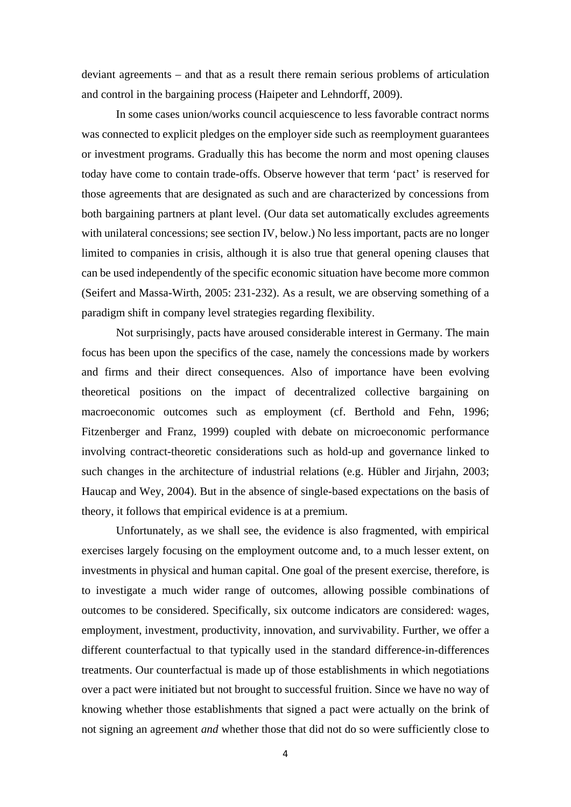deviant agreements – and that as a result there remain serious problems of articulation and control in the bargaining process (Haipeter and Lehndorff, 2009).

In some cases union/works council acquiescence to less favorable contract norms was connected to explicit pledges on the employer side such as reemployment guarantees or investment programs. Gradually this has become the norm and most opening clauses today have come to contain trade-offs. Observe however that term 'pact' is reserved for those agreements that are designated as such and are characterized by concessions from both bargaining partners at plant level. (Our data set automatically excludes agreements with unilateral concessions; see section IV, below.) No less important, pacts are no longer limited to companies in crisis, although it is also true that general opening clauses that can be used independently of the specific economic situation have become more common (Seifert and Massa-Wirth, 2005: 231-232). As a result, we are observing something of a paradigm shift in company level strategies regarding flexibility.

Not surprisingly, pacts have aroused considerable interest in Germany. The main focus has been upon the specifics of the case, namely the concessions made by workers and firms and their direct consequences. Also of importance have been evolving theoretical positions on the impact of decentralized collective bargaining on macroeconomic outcomes such as employment (cf. Berthold and Fehn, 1996; Fitzenberger and Franz, 1999) coupled with debate on microeconomic performance involving contract-theoretic considerations such as hold-up and governance linked to such changes in the architecture of industrial relations (e.g. Hübler and Jirjahn, 2003; Haucap and Wey, 2004). But in the absence of single-based expectations on the basis of theory, it follows that empirical evidence is at a premium.

Unfortunately, as we shall see, the evidence is also fragmented, with empirical exercises largely focusing on the employment outcome and, to a much lesser extent, on investments in physical and human capital. One goal of the present exercise, therefore, is to investigate a much wider range of outcomes, allowing possible combinations of outcomes to be considered. Specifically, six outcome indicators are considered: wages, employment, investment, productivity, innovation, and survivability. Further, we offer a different counterfactual to that typically used in the standard difference-in-differences treatments. Our counterfactual is made up of those establishments in which negotiations over a pact were initiated but not brought to successful fruition. Since we have no way of knowing whether those establishments that signed a pact were actually on the brink of not signing an agreement *and* whether those that did not do so were sufficiently close to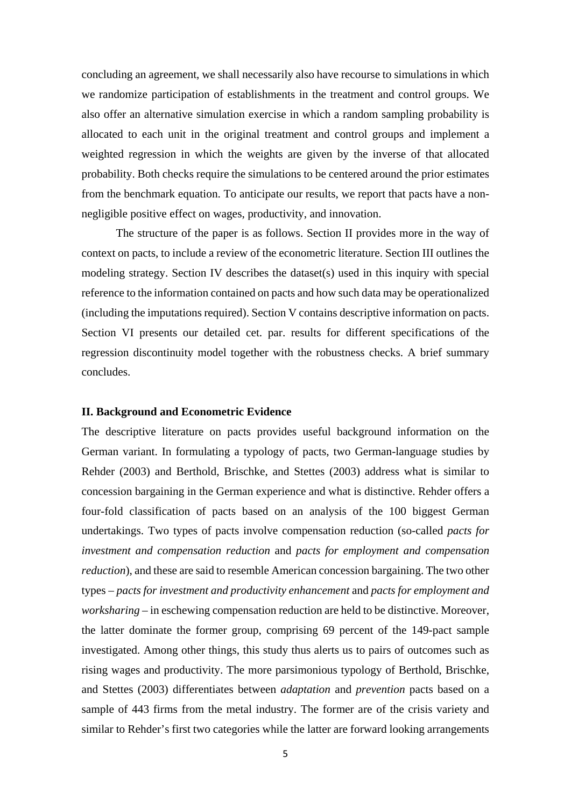concluding an agreement, we shall necessarily also have recourse to simulations in which we randomize participation of establishments in the treatment and control groups. We also offer an alternative simulation exercise in which a random sampling probability is allocated to each unit in the original treatment and control groups and implement a weighted regression in which the weights are given by the inverse of that allocated probability. Both checks require the simulations to be centered around the prior estimates from the benchmark equation. To anticipate our results, we report that pacts have a nonnegligible positive effect on wages, productivity, and innovation.

The structure of the paper is as follows. Section II provides more in the way of context on pacts, to include a review of the econometric literature. Section III outlines the modeling strategy. Section IV describes the dataset(s) used in this inquiry with special reference to the information contained on pacts and how such data may be operationalized (including the imputations required). Section V contains descriptive information on pacts. Section VI presents our detailed cet. par. results for different specifications of the regression discontinuity model together with the robustness checks. A brief summary concludes.

#### **II. Background and Econometric Evidence**

The descriptive literature on pacts provides useful background information on the German variant. In formulating a typology of pacts, two German-language studies by Rehder (2003) and Berthold, Brischke, and Stettes (2003) address what is similar to concession bargaining in the German experience and what is distinctive. Rehder offers a four-fold classification of pacts based on an analysis of the 100 biggest German undertakings. Two types of pacts involve compensation reduction (so-called *pacts for investment and compensation reduction* and *pacts for employment and compensation reduction*), and these are said to resemble American concession bargaining. The two other types – *pacts for investment and productivity enhancement* and *pacts for employment and worksharing* – in eschewing compensation reduction are held to be distinctive. Moreover, the latter dominate the former group, comprising 69 percent of the 149-pact sample investigated. Among other things, this study thus alerts us to pairs of outcomes such as rising wages and productivity. The more parsimonious typology of Berthold, Brischke, and Stettes (2003) differentiates between *adaptation* and *prevention* pacts based on a sample of 443 firms from the metal industry. The former are of the crisis variety and similar to Rehder's first two categories while the latter are forward looking arrangements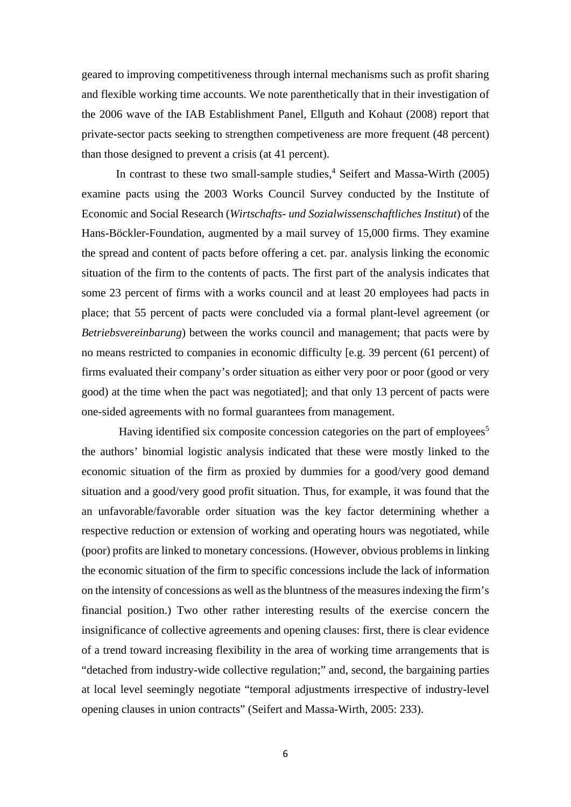geared to improving competitiveness through internal mechanisms such as profit sharing and flexible working time accounts. We note parenthetically that in their investigation of the 2006 wave of the IAB Establishment Panel, Ellguth and Kohaut (2008) report that private-sector pacts seeking to strengthen competiveness are more frequent (48 percent) than those designed to prevent a crisis (at 41 percent).

In contrast to these two small-sample studies, $4$  Seifert and Massa-Wirth (2005) examine pacts using the 2003 Works Council Survey conducted by the Institute of Economic and Social Research (*Wirtschafts- und Sozialwissenschaftliches Institut*) of the Hans-Böckler-Foundation, augmented by a mail survey of 15,000 firms. They examine the spread and content of pacts before offering a cet. par. analysis linking the economic situation of the firm to the contents of pacts. The first part of the analysis indicates that some 23 percent of firms with a works council and at least 20 employees had pacts in place; that 55 percent of pacts were concluded via a formal plant-level agreement (or *Betriebsvereinbarung*) between the works council and management; that pacts were by no means restricted to companies in economic difficulty [e.g. 39 percent (61 percent) of firms evaluated their company's order situation as either very poor or poor (good or very good) at the time when the pact was negotiated]; and that only 13 percent of pacts were one-sided agreements with no formal guarantees from management.

Having identified six composite concession categories on the part of employees<sup>5</sup> the authors' binomial logistic analysis indicated that these were mostly linked to the economic situation of the firm as proxied by dummies for a good/very good demand situation and a good/very good profit situation. Thus, for example, it was found that the an unfavorable/favorable order situation was the key factor determining whether a respective reduction or extension of working and operating hours was negotiated, while (poor) profits are linked to monetary concessions. (However, obvious problems in linking the economic situation of the firm to specific concessions include the lack of information on the intensity of concessions as well as the bluntness of the measures indexing the firm's financial position.) Two other rather interesting results of the exercise concern the insignificance of collective agreements and opening clauses: first, there is clear evidence of a trend toward increasing flexibility in the area of working time arrangements that is "detached from industry-wide collective regulation;" and, second, the bargaining parties at local level seemingly negotiate "temporal adjustments irrespective of industry-level opening clauses in union contracts" (Seifert and Massa-Wirth, 2005: 233).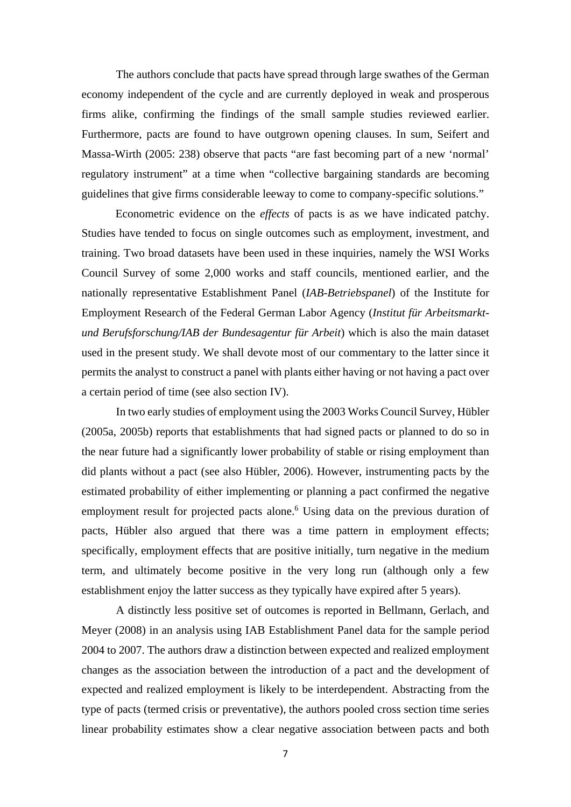The authors conclude that pacts have spread through large swathes of the German economy independent of the cycle and are currently deployed in weak and prosperous firms alike, confirming the findings of the small sample studies reviewed earlier. Furthermore, pacts are found to have outgrown opening clauses. In sum, Seifert and Massa-Wirth (2005: 238) observe that pacts "are fast becoming part of a new 'normal' regulatory instrument" at a time when "collective bargaining standards are becoming guidelines that give firms considerable leeway to come to company-specific solutions."

 Econometric evidence on the *effects* of pacts is as we have indicated patchy. Studies have tended to focus on single outcomes such as employment, investment, and training. Two broad datasets have been used in these inquiries, namely the WSI Works Council Survey of some 2,000 works and staff councils, mentioned earlier, and the nationally representative Establishment Panel (*IAB-Betriebspanel*) of the Institute for Employment Research of the Federal German Labor Agency (*Institut für Arbeitsmarktund Berufsforschung/IAB der Bundesagentur für Arbeit*) which is also the main dataset used in the present study. We shall devote most of our commentary to the latter since it permits the analyst to construct a panel with plants either having or not having a pact over a certain period of time (see also section IV).

In two early studies of employment using the 2003 Works Council Survey, Hübler (2005a, 2005b) reports that establishments that had signed pacts or planned to do so in the near future had a significantly lower probability of stable or rising employment than did plants without a pact (see also Hübler, 2006). However, instrumenting pacts by the estimated probability of either implementing or planning a pact confirmed the negative employment result for projected pacts alone.<sup>6</sup> Using data on the previous duration of pacts, Hübler also argued that there was a time pattern in employment effects; specifically, employment effects that are positive initially, turn negative in the medium term, and ultimately become positive in the very long run (although only a few establishment enjoy the latter success as they typically have expired after 5 years).

A distinctly less positive set of outcomes is reported in Bellmann, Gerlach, and Meyer (2008) in an analysis using IAB Establishment Panel data for the sample period 2004 to 2007. The authors draw a distinction between expected and realized employment changes as the association between the introduction of a pact and the development of expected and realized employment is likely to be interdependent. Abstracting from the type of pacts (termed crisis or preventative), the authors pooled cross section time series linear probability estimates show a clear negative association between pacts and both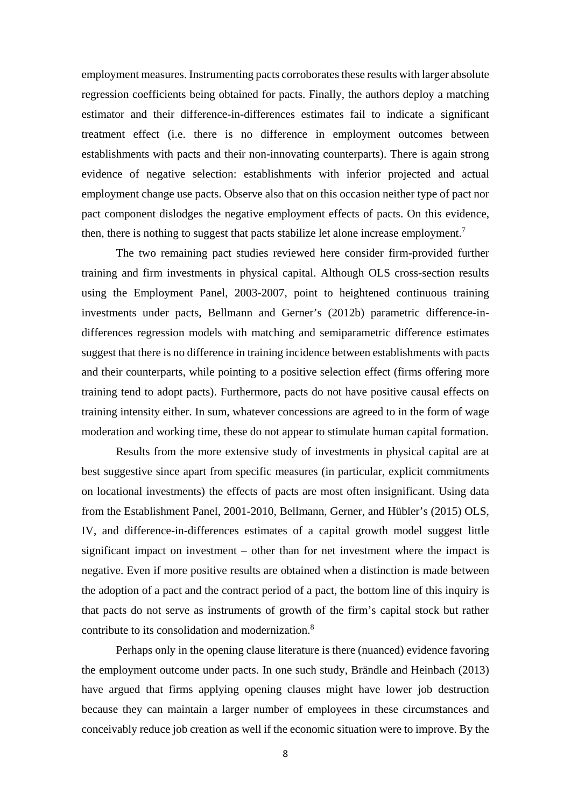employment measures. Instrumenting pacts corroborates these results with larger absolute regression coefficients being obtained for pacts. Finally, the authors deploy a matching estimator and their difference-in-differences estimates fail to indicate a significant treatment effect (i.e. there is no difference in employment outcomes between establishments with pacts and their non-innovating counterparts). There is again strong evidence of negative selection: establishments with inferior projected and actual employment change use pacts. Observe also that on this occasion neither type of pact nor pact component dislodges the negative employment effects of pacts. On this evidence, then, there is nothing to suggest that pacts stabilize let alone increase employment.<sup>7</sup>

The two remaining pact studies reviewed here consider firm-provided further training and firm investments in physical capital. Although OLS cross-section results using the Employment Panel, 2003-2007, point to heightened continuous training investments under pacts, Bellmann and Gerner's (2012b) parametric difference-indifferences regression models with matching and semiparametric difference estimates suggest that there is no difference in training incidence between establishments with pacts and their counterparts, while pointing to a positive selection effect (firms offering more training tend to adopt pacts). Furthermore, pacts do not have positive causal effects on training intensity either. In sum, whatever concessions are agreed to in the form of wage moderation and working time, these do not appear to stimulate human capital formation.

Results from the more extensive study of investments in physical capital are at best suggestive since apart from specific measures (in particular, explicit commitments on locational investments) the effects of pacts are most often insignificant. Using data from the Establishment Panel, 2001-2010, Bellmann, Gerner, and Hübler's (2015) OLS, IV, and difference-in-differences estimates of a capital growth model suggest little significant impact on investment – other than for net investment where the impact is negative. Even if more positive results are obtained when a distinction is made between the adoption of a pact and the contract period of a pact, the bottom line of this inquiry is that pacts do not serve as instruments of growth of the firm's capital stock but rather contribute to its consolidation and modernization.<sup>8</sup>

Perhaps only in the opening clause literature is there (nuanced) evidence favoring the employment outcome under pacts. In one such study, Brändle and Heinbach (2013) have argued that firms applying opening clauses might have lower job destruction because they can maintain a larger number of employees in these circumstances and conceivably reduce job creation as well if the economic situation were to improve. By the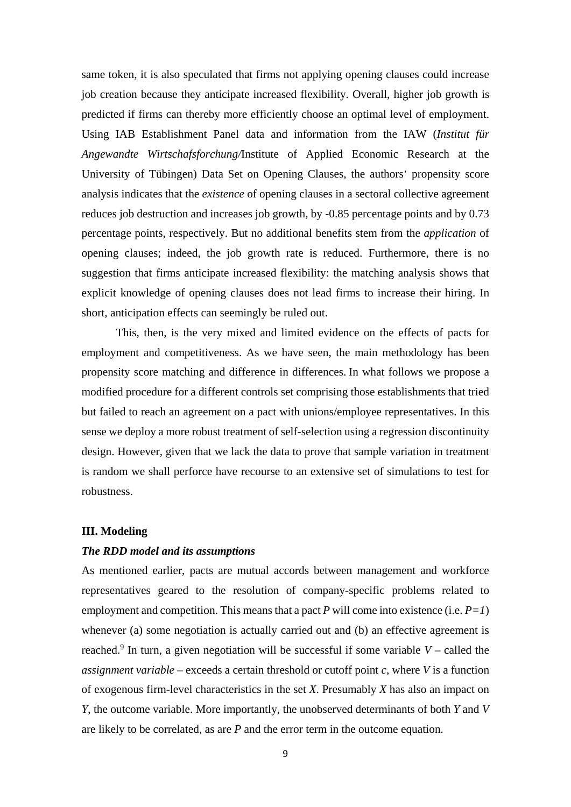same token, it is also speculated that firms not applying opening clauses could increase job creation because they anticipate increased flexibility. Overall, higher job growth is predicted if firms can thereby more efficiently choose an optimal level of employment. Using IAB Establishment Panel data and information from the IAW (*Institut für Angewandte Wirtschafsforchung/*Institute of Applied Economic Research at the University of Tübingen) Data Set on Opening Clauses, the authors' propensity score analysis indicates that the *existence* of opening clauses in a sectoral collective agreement reduces job destruction and increases job growth, by -0.85 percentage points and by 0.73 percentage points, respectively. But no additional benefits stem from the *application* of opening clauses; indeed, the job growth rate is reduced. Furthermore, there is no suggestion that firms anticipate increased flexibility: the matching analysis shows that explicit knowledge of opening clauses does not lead firms to increase their hiring. In short, anticipation effects can seemingly be ruled out.

This, then, is the very mixed and limited evidence on the effects of pacts for employment and competitiveness. As we have seen, the main methodology has been propensity score matching and difference in differences. In what follows we propose a modified procedure for a different controls set comprising those establishments that tried but failed to reach an agreement on a pact with unions/employee representatives. In this sense we deploy a more robust treatment of self-selection using a regression discontinuity design. However, given that we lack the data to prove that sample variation in treatment is random we shall perforce have recourse to an extensive set of simulations to test for robustness.

#### **III. Modeling**

#### *The RDD model and its assumptions*

As mentioned earlier, pacts are mutual accords between management and workforce representatives geared to the resolution of company-specific problems related to employment and competition. This means that a pact  $P$  will come into existence (i.e.  $P=1$ ) whenever (a) some negotiation is actually carried out and (b) an effective agreement is reached.<sup>9</sup> In turn, a given negotiation will be successful if some variable  $V$  – called the *assignment variable* – exceeds a certain threshold or cutoff point *c*, where *V* is a function of exogenous firm-level characteristics in the set *X*. Presumably *X* has also an impact on *Y*, the outcome variable. More importantly, the unobserved determinants of both *Y* and *V* are likely to be correlated, as are *P* and the error term in the outcome equation.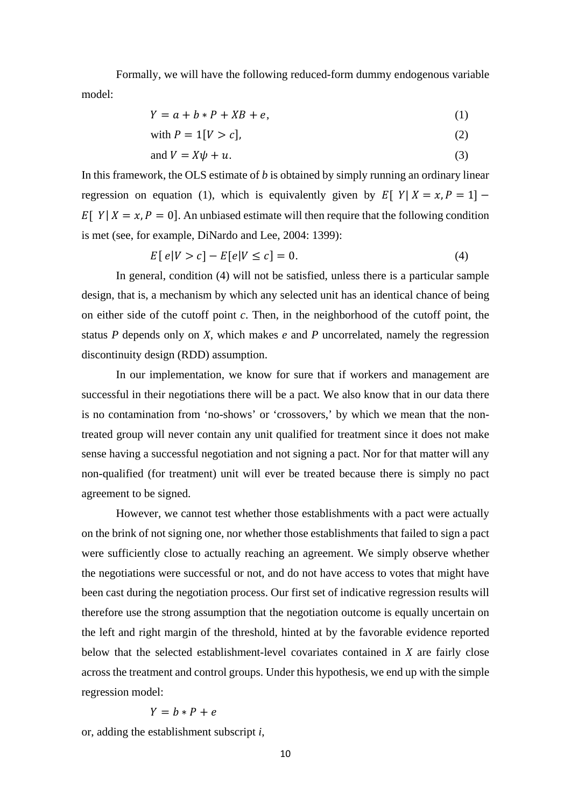Formally, we will have the following reduced-form dummy endogenous variable model:

$$
Y = a + b * P + XB + e,\tag{1}
$$

with 
$$
P = 1[V > c],
$$
 (2)

and 
$$
V = X\psi + u
$$
. (3)

In this framework, the OLS estimate of *b* is obtained by simply running an ordinary linear regression on equation (1), which is equivalently given by  $E[Y|X = x, P = 1]$  –  $E[Y|X = x, P = 0]$ . An unbiased estimate will then require that the following condition is met (see, for example, DiNardo and Lee, 2004: 1399):

$$
E[e|V > c] - E[e|V \le c] = 0. \tag{4}
$$

In general, condition (4) will not be satisfied, unless there is a particular sample design, that is, a mechanism by which any selected unit has an identical chance of being on either side of the cutoff point *c*. Then, in the neighborhood of the cutoff point, the status *P* depends only on *X*, which makes *e* and *P* uncorrelated, namely the regression discontinuity design (RDD) assumption.

In our implementation, we know for sure that if workers and management are successful in their negotiations there will be a pact. We also know that in our data there is no contamination from 'no-shows' or 'crossovers,' by which we mean that the nontreated group will never contain any unit qualified for treatment since it does not make sense having a successful negotiation and not signing a pact. Nor for that matter will any non-qualified (for treatment) unit will ever be treated because there is simply no pact agreement to be signed.

However, we cannot test whether those establishments with a pact were actually on the brink of not signing one, nor whether those establishments that failed to sign a pact were sufficiently close to actually reaching an agreement. We simply observe whether the negotiations were successful or not, and do not have access to votes that might have been cast during the negotiation process. Our first set of indicative regression results will therefore use the strong assumption that the negotiation outcome is equally uncertain on the left and right margin of the threshold, hinted at by the favorable evidence reported below that the selected establishment-level covariates contained in *X* are fairly close across the treatment and control groups. Under this hypothesis, we end up with the simple regression model:

$$
Y = b * P + e
$$

or, adding the establishment subscript *i*,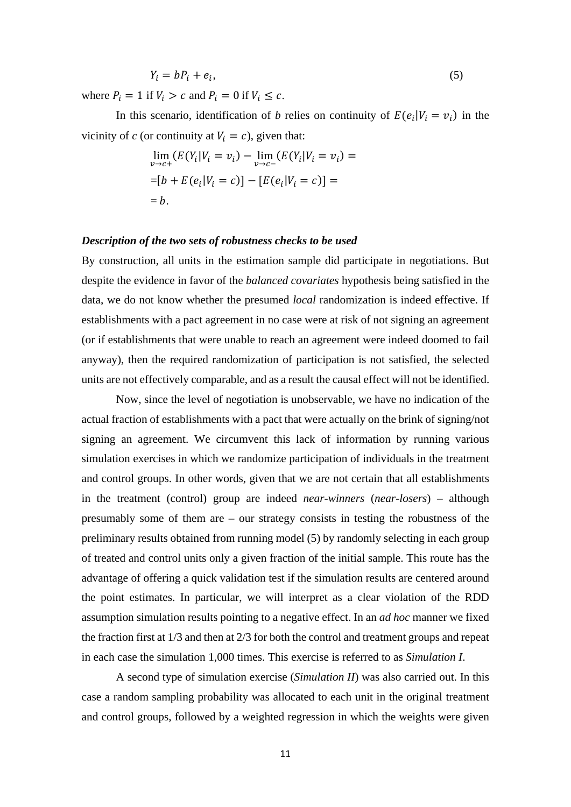$$
Y_i = bP_i + e_i,\tag{5}
$$

where  $P_i = 1$  if  $V_i > c$  and  $P_i = 0$  if  $V_i \leq c$ .

In this scenario, identification of *b* relies on continuity of  $E(e_i|V_i = v_i)$  in the vicinity of *c* (or continuity at  $V_i = c$ ), given that:

$$
\lim_{v \to c+} (E(Y_i | V_i = v_i) - \lim_{v \to c-} (E(Y_i | V_i = v_i) =
$$
  
= [b + E(e\_i | V\_i = c)] - [E(e\_i | V\_i = c)] =  
= b.

#### *Description of the two sets of robustness checks to be used*

By construction, all units in the estimation sample did participate in negotiations. But despite the evidence in favor of the *balanced covariates* hypothesis being satisfied in the data, we do not know whether the presumed *local* randomization is indeed effective. If establishments with a pact agreement in no case were at risk of not signing an agreement (or if establishments that were unable to reach an agreement were indeed doomed to fail anyway), then the required randomization of participation is not satisfied, the selected units are not effectively comparable, and as a result the causal effect will not be identified.

Now, since the level of negotiation is unobservable, we have no indication of the actual fraction of establishments with a pact that were actually on the brink of signing/not signing an agreement. We circumvent this lack of information by running various simulation exercises in which we randomize participation of individuals in the treatment and control groups. In other words, given that we are not certain that all establishments in the treatment (control) group are indeed *near-winners* (*near-losers*) – although presumably some of them are – our strategy consists in testing the robustness of the preliminary results obtained from running model (5) by randomly selecting in each group of treated and control units only a given fraction of the initial sample. This route has the advantage of offering a quick validation test if the simulation results are centered around the point estimates. In particular, we will interpret as a clear violation of the RDD assumption simulation results pointing to a negative effect. In an *ad hoc* manner we fixed the fraction first at 1/3 and then at 2/3 for both the control and treatment groups and repeat in each case the simulation 1,000 times. This exercise is referred to as *Simulation I*.

A second type of simulation exercise (*Simulation II*) was also carried out. In this case a random sampling probability was allocated to each unit in the original treatment and control groups, followed by a weighted regression in which the weights were given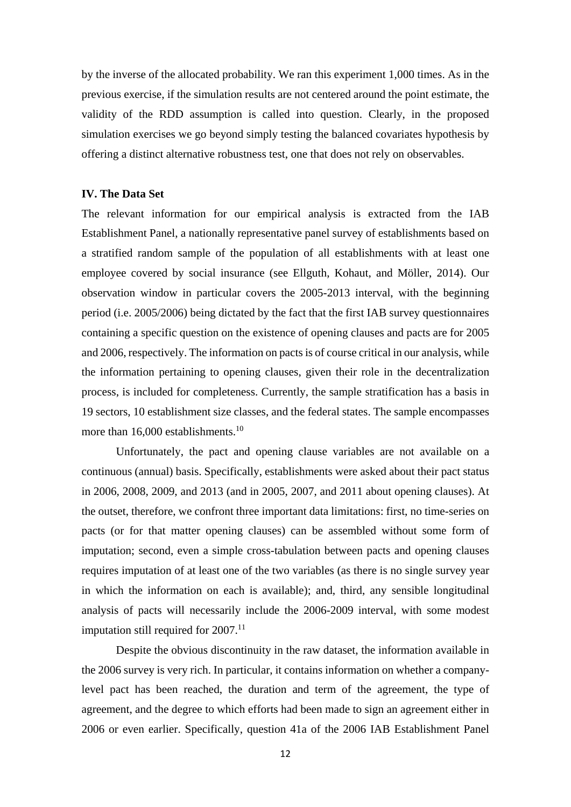by the inverse of the allocated probability. We ran this experiment 1,000 times. As in the previous exercise, if the simulation results are not centered around the point estimate, the validity of the RDD assumption is called into question. Clearly, in the proposed simulation exercises we go beyond simply testing the balanced covariates hypothesis by offering a distinct alternative robustness test, one that does not rely on observables.

#### **IV. The Data Set**

The relevant information for our empirical analysis is extracted from the IAB Establishment Panel, a nationally representative panel survey of establishments based on a stratified random sample of the population of all establishments with at least one employee covered by social insurance (see Ellguth, Kohaut, and Möller, 2014). Our observation window in particular covers the 2005-2013 interval, with the beginning period (i.e. 2005/2006) being dictated by the fact that the first IAB survey questionnaires containing a specific question on the existence of opening clauses and pacts are for 2005 and 2006, respectively. The information on pacts is of course critical in our analysis, while the information pertaining to opening clauses, given their role in the decentralization process, is included for completeness. Currently, the sample stratification has a basis in 19 sectors, 10 establishment size classes, and the federal states. The sample encompasses more than 16,000 establishments.<sup>10</sup>

Unfortunately, the pact and opening clause variables are not available on a continuous (annual) basis. Specifically, establishments were asked about their pact status in 2006, 2008, 2009, and 2013 (and in 2005, 2007, and 2011 about opening clauses). At the outset, therefore, we confront three important data limitations: first, no time-series on pacts (or for that matter opening clauses) can be assembled without some form of imputation; second, even a simple cross-tabulation between pacts and opening clauses requires imputation of at least one of the two variables (as there is no single survey year in which the information on each is available); and, third, any sensible longitudinal analysis of pacts will necessarily include the 2006-2009 interval, with some modest imputation still required for  $2007$ .<sup>11</sup>

Despite the obvious discontinuity in the raw dataset, the information available in the 2006 survey is very rich. In particular, it contains information on whether a companylevel pact has been reached, the duration and term of the agreement, the type of agreement, and the degree to which efforts had been made to sign an agreement either in 2006 or even earlier. Specifically, question 41a of the 2006 IAB Establishment Panel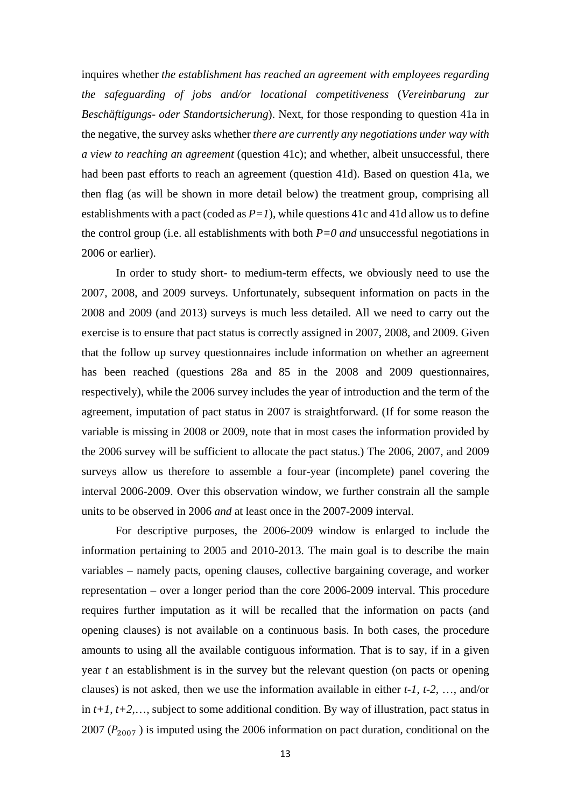inquires whether *the establishment has reached an agreement with employees regarding the safeguarding of jobs and/or locational competitiveness* (*Vereinbarung zur Beschäftigungs- oder Standortsicherung*). Next, for those responding to question 41a in the negative, the survey asks whether *there are currently any negotiations under way with a view to reaching an agreement* (question 41c); and whether, albeit unsuccessful, there had been past efforts to reach an agreement (question 41d). Based on question 41a, we then flag (as will be shown in more detail below) the treatment group, comprising all establishments with a pact (coded as  $P=1$ ), while questions 41c and 41d allow us to define the control group (i.e. all establishments with both  $P=0$  *and* unsuccessful negotiations in 2006 or earlier).

In order to study short- to medium-term effects, we obviously need to use the 2007, 2008, and 2009 surveys. Unfortunately, subsequent information on pacts in the 2008 and 2009 (and 2013) surveys is much less detailed. All we need to carry out the exercise is to ensure that pact status is correctly assigned in 2007, 2008, and 2009. Given that the follow up survey questionnaires include information on whether an agreement has been reached (questions 28a and 85 in the 2008 and 2009 questionnaires, respectively), while the 2006 survey includes the year of introduction and the term of the agreement, imputation of pact status in 2007 is straightforward. (If for some reason the variable is missing in 2008 or 2009, note that in most cases the information provided by the 2006 survey will be sufficient to allocate the pact status.) The 2006, 2007, and 2009 surveys allow us therefore to assemble a four-year (incomplete) panel covering the interval 2006-2009. Over this observation window, we further constrain all the sample units to be observed in 2006 *and* at least once in the 2007-2009 interval.

For descriptive purposes, the 2006-2009 window is enlarged to include the information pertaining to 2005 and 2010-2013. The main goal is to describe the main variables – namely pacts, opening clauses, collective bargaining coverage, and worker representation – over a longer period than the core 2006-2009 interval. This procedure requires further imputation as it will be recalled that the information on pacts (and opening clauses) is not available on a continuous basis. In both cases, the procedure amounts to using all the available contiguous information. That is to say, if in a given year *t* an establishment is in the survey but the relevant question (on pacts or opening clauses) is not asked, then we use the information available in either *t-1*, *t-2*, …, and/or in  $t+1$ ,  $t+2$ ,…, subject to some additional condition. By way of illustration, pact status in 2007 ( $P_{2007}$ ) is imputed using the 2006 information on pact duration, conditional on the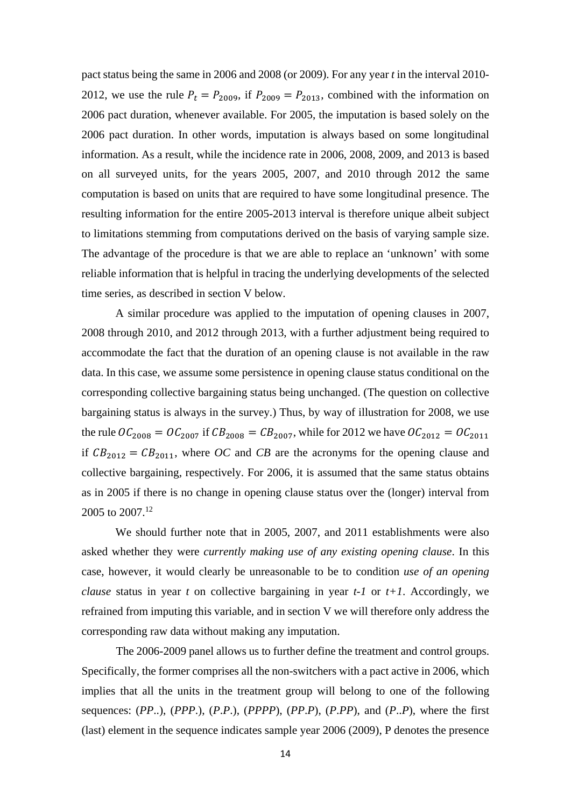pact status being the same in 2006 and 2008 (or 2009). For any year *t* in the interval 2010- 2012, we use the rule  $P_t = P_{2009}$ , if  $P_{2009} = P_{2013}$ , combined with the information on 2006 pact duration, whenever available. For 2005, the imputation is based solely on the 2006 pact duration. In other words, imputation is always based on some longitudinal information. As a result, while the incidence rate in 2006, 2008, 2009, and 2013 is based on all surveyed units, for the years 2005, 2007, and 2010 through 2012 the same computation is based on units that are required to have some longitudinal presence. The resulting information for the entire 2005-2013 interval is therefore unique albeit subject to limitations stemming from computations derived on the basis of varying sample size. The advantage of the procedure is that we are able to replace an 'unknown' with some reliable information that is helpful in tracing the underlying developments of the selected time series, as described in section V below.

A similar procedure was applied to the imputation of opening clauses in 2007, 2008 through 2010, and 2012 through 2013, with a further adjustment being required to accommodate the fact that the duration of an opening clause is not available in the raw data. In this case, we assume some persistence in opening clause status conditional on the corresponding collective bargaining status being unchanged. (The question on collective bargaining status is always in the survey.) Thus, by way of illustration for 2008, we use the rule  $OC_{2008} = OC_{2007}$  if  $CB_{2008} = CB_{2007}$ , while for 2012 we have  $OC_{2012} = OC_{2011}$ if  $CB_{2012} = CB_{2011}$ , where *OC* and *CB* are the acronyms for the opening clause and collective bargaining, respectively. For 2006, it is assumed that the same status obtains as in 2005 if there is no change in opening clause status over the (longer) interval from 2005 to 2007.<sup>12</sup>

We should further note that in 2005, 2007, and 2011 establishments were also asked whether they were *currently making use of any existing opening clause*. In this case, however, it would clearly be unreasonable to be to condition *use of an opening clause* status in year *t* on collective bargaining in year  $t$ -1 or  $t+1$ . Accordingly, we refrained from imputing this variable, and in section V we will therefore only address the corresponding raw data without making any imputation.

The 2006-2009 panel allows us to further define the treatment and control groups. Specifically, the former comprises all the non-switchers with a pact active in 2006, which implies that all the units in the treatment group will belong to one of the following sequences: (*PP*..), (*PPP*.), (*P*.*P*.), (*PPPP*), (*PP*.*P*), (*P*.*PP*), and (*P*..*P*), where the first (last) element in the sequence indicates sample year 2006 (2009), P denotes the presence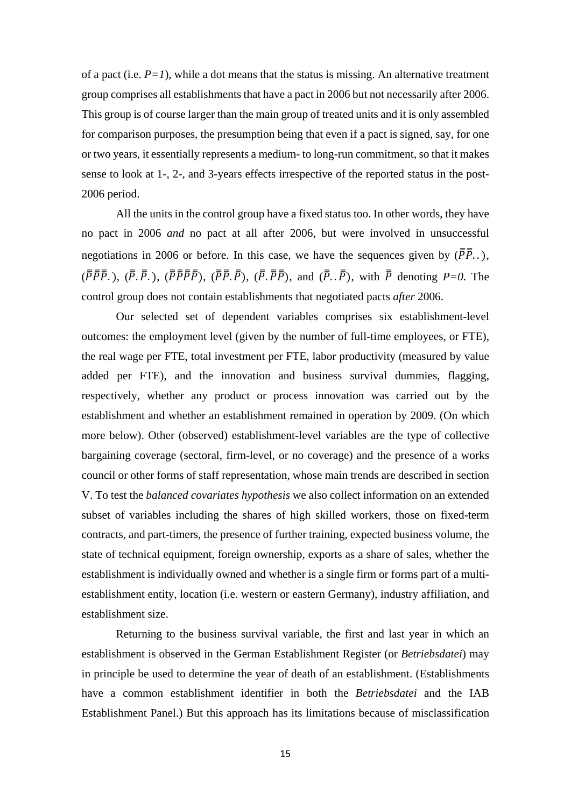of a pact (i.e.  $P=1$ ), while a dot means that the status is missing. An alternative treatment group comprises all establishments that have a pact in 2006 but not necessarily after 2006. This group is of course larger than the main group of treated units and it is only assembled for comparison purposes, the presumption being that even if a pact is signed, say, for one or two years, it essentially represents a medium- to long-run commitment, so that it makes sense to look at 1-, 2-, and 3-years effects irrespective of the reported status in the post-2006 period.

All the units in the control group have a fixed status too. In other words, they have no pact in 2006 *and* no pact at all after 2006, but were involved in unsuccessful negotiations in 2006 or before. In this case, we have the sequences given by  $(\overline{P} \overline{P})$ .,  $(\bar{P}\bar{P}\bar{P}, \bar{P})$ ,  $(\bar{P}\bar{P}\bar{P}\bar{P}\bar{P})$ ,  $(\bar{P}\bar{P}\bar{P}\bar{P})$ ,  $(\bar{P}\bar{P}\bar{P}\bar{P})$ , and  $(\bar{P}\bar{P}\bar{P})$ , with  $\bar{P}$  denoting  $P=0$ . The control group does not contain establishments that negotiated pacts *after* 2006.

Our selected set of dependent variables comprises six establishment-level outcomes: the employment level (given by the number of full-time employees, or FTE), the real wage per FTE, total investment per FTE, labor productivity (measured by value added per FTE), and the innovation and business survival dummies, flagging, respectively, whether any product or process innovation was carried out by the establishment and whether an establishment remained in operation by 2009. (On which more below). Other (observed) establishment-level variables are the type of collective bargaining coverage (sectoral, firm-level, or no coverage) and the presence of a works council or other forms of staff representation, whose main trends are described in section V. To test the *balanced covariates hypothesis* we also collect information on an extended subset of variables including the shares of high skilled workers, those on fixed-term contracts, and part-timers, the presence of further training, expected business volume, the state of technical equipment, foreign ownership, exports as a share of sales, whether the establishment is individually owned and whether is a single firm or forms part of a multiestablishment entity, location (i.e. western or eastern Germany), industry affiliation, and establishment size.

Returning to the business survival variable, the first and last year in which an establishment is observed in the German Establishment Register (or *Betriebsdatei*) may in principle be used to determine the year of death of an establishment. (Establishments have a common establishment identifier in both the *Betriebsdatei* and the IAB Establishment Panel.) But this approach has its limitations because of misclassification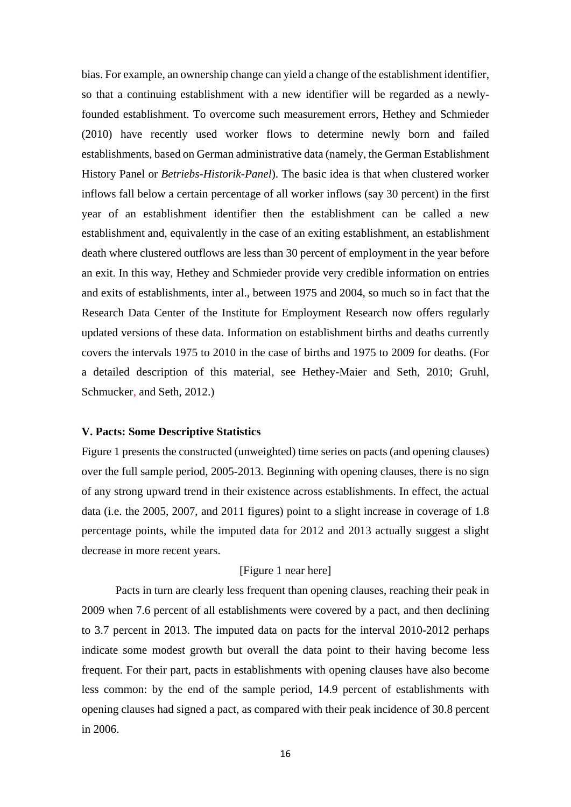bias. For example, an ownership change can yield a change of the establishment identifier, so that a continuing establishment with a new identifier will be regarded as a newlyfounded establishment. To overcome such measurement errors, Hethey and Schmieder (2010) have recently used worker flows to determine newly born and failed establishments, based on German administrative data (namely, the German Establishment History Panel or *Betriebs-Historik-Panel*). The basic idea is that when clustered worker inflows fall below a certain percentage of all worker inflows (say 30 percent) in the first year of an establishment identifier then the establishment can be called a new establishment and, equivalently in the case of an exiting establishment, an establishment death where clustered outflows are less than 30 percent of employment in the year before an exit. In this way, Hethey and Schmieder provide very credible information on entries and exits of establishments, inter al., between 1975 and 2004, so much so in fact that the Research Data Center of the Institute for Employment Research now offers regularly updated versions of these data. Information on establishment births and deaths currently covers the intervals 1975 to 2010 in the case of births and 1975 to 2009 for deaths. (For a detailed description of this material, see Hethey-Maier and Seth, 2010; Gruhl, Schmucker, and Seth, 2012.)

#### **V. Pacts: Some Descriptive Statistics**

Figure 1 presents the constructed (unweighted) time series on pacts (and opening clauses) over the full sample period, 2005-2013. Beginning with opening clauses, there is no sign of any strong upward trend in their existence across establishments. In effect, the actual data (i.e. the 2005, 2007, and 2011 figures) point to a slight increase in coverage of 1.8 percentage points, while the imputed data for 2012 and 2013 actually suggest a slight decrease in more recent years.

#### [Figure 1 near here]

 Pacts in turn are clearly less frequent than opening clauses, reaching their peak in 2009 when 7.6 percent of all establishments were covered by a pact, and then declining to 3.7 percent in 2013. The imputed data on pacts for the interval 2010-2012 perhaps indicate some modest growth but overall the data point to their having become less frequent. For their part, pacts in establishments with opening clauses have also become less common: by the end of the sample period, 14.9 percent of establishments with opening clauses had signed a pact, as compared with their peak incidence of 30.8 percent in 2006.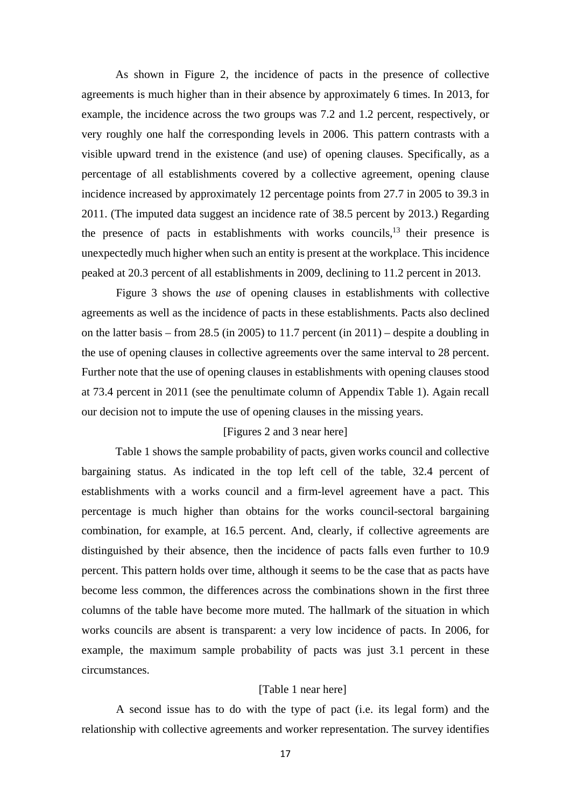As shown in Figure 2, the incidence of pacts in the presence of collective agreements is much higher than in their absence by approximately 6 times. In 2013, for example, the incidence across the two groups was 7.2 and 1.2 percent, respectively, or very roughly one half the corresponding levels in 2006. This pattern contrasts with a visible upward trend in the existence (and use) of opening clauses. Specifically, as a percentage of all establishments covered by a collective agreement, opening clause incidence increased by approximately 12 percentage points from 27.7 in 2005 to 39.3 in 2011. (The imputed data suggest an incidence rate of 38.5 percent by 2013.) Regarding the presence of pacts in establishments with works councils, $13$  their presence is unexpectedly much higher when such an entity is present at the workplace. This incidence peaked at 20.3 percent of all establishments in 2009, declining to 11.2 percent in 2013.

Figure 3 shows the *use* of opening clauses in establishments with collective agreements as well as the incidence of pacts in these establishments. Pacts also declined on the latter basis – from 28.5 (in 2005) to 11.7 percent (in 2011) – despite a doubling in the use of opening clauses in collective agreements over the same interval to 28 percent. Further note that the use of opening clauses in establishments with opening clauses stood at 73.4 percent in 2011 (see the penultimate column of Appendix Table 1). Again recall our decision not to impute the use of opening clauses in the missing years.

#### [Figures 2 and 3 near here]

 Table 1 shows the sample probability of pacts, given works council and collective bargaining status. As indicated in the top left cell of the table, 32.4 percent of establishments with a works council and a firm-level agreement have a pact. This percentage is much higher than obtains for the works council-sectoral bargaining combination, for example, at 16.5 percent. And, clearly, if collective agreements are distinguished by their absence, then the incidence of pacts falls even further to 10.9 percent. This pattern holds over time, although it seems to be the case that as pacts have become less common, the differences across the combinations shown in the first three columns of the table have become more muted. The hallmark of the situation in which works councils are absent is transparent: a very low incidence of pacts. In 2006, for example, the maximum sample probability of pacts was just 3.1 percent in these circumstances.

#### [Table 1 near here]

A second issue has to do with the type of pact (i.e. its legal form) and the relationship with collective agreements and worker representation. The survey identifies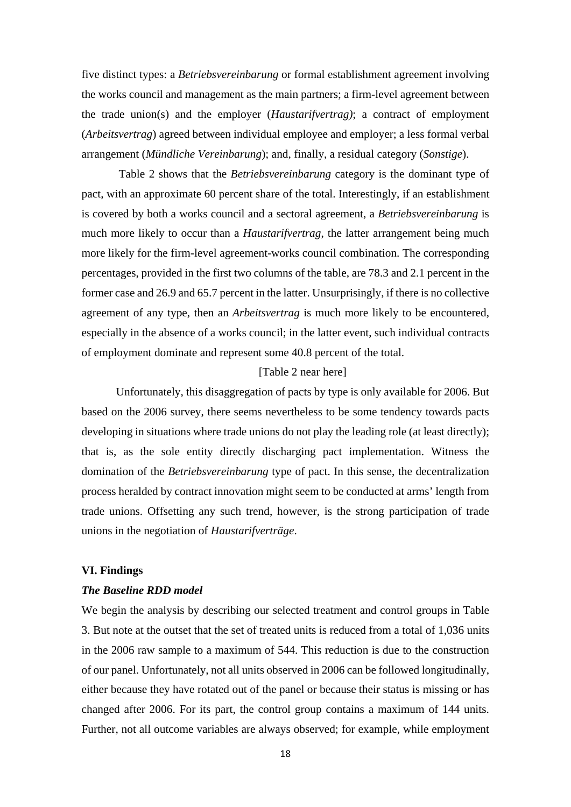five distinct types: a *Betriebsvereinbarung* or formal establishment agreement involving the works council and management as the main partners; a firm-level agreement between the trade union(s) and the employer (*Haustarifvertrag)*; a contract of employment (*Arbeitsvertrag*) agreed between individual employee and employer; a less formal verbal arrangement (*Mündliche Vereinbarung*); and, finally, a residual category (*Sonstige*).

Table 2 shows that the *Betriebsvereinbarung* category is the dominant type of pact, with an approximate 60 percent share of the total. Interestingly, if an establishment is covered by both a works council and a sectoral agreement, a *Betriebsvereinbarung* is much more likely to occur than a *Haustarifvertrag*, the latter arrangement being much more likely for the firm-level agreement-works council combination. The corresponding percentages, provided in the first two columns of the table, are 78.3 and 2.1 percent in the former case and 26.9 and 65.7 percent in the latter. Unsurprisingly, if there is no collective agreement of any type, then an *Arbeitsvertrag* is much more likely to be encountered, especially in the absence of a works council; in the latter event, such individual contracts of employment dominate and represent some 40.8 percent of the total.

#### [Table 2 near here]

Unfortunately, this disaggregation of pacts by type is only available for 2006. But based on the 2006 survey, there seems nevertheless to be some tendency towards pacts developing in situations where trade unions do not play the leading role (at least directly); that is, as the sole entity directly discharging pact implementation. Witness the domination of the *Betriebsvereinbarung* type of pact. In this sense, the decentralization process heralded by contract innovation might seem to be conducted at arms' length from trade unions. Offsetting any such trend, however, is the strong participation of trade unions in the negotiation of *Haustarifverträge*.

#### **VI. Findings**

#### *The Baseline RDD model*

We begin the analysis by describing our selected treatment and control groups in Table 3. But note at the outset that the set of treated units is reduced from a total of 1,036 units in the 2006 raw sample to a maximum of 544. This reduction is due to the construction of our panel. Unfortunately, not all units observed in 2006 can be followed longitudinally, either because they have rotated out of the panel or because their status is missing or has changed after 2006. For its part, the control group contains a maximum of 144 units. Further, not all outcome variables are always observed; for example, while employment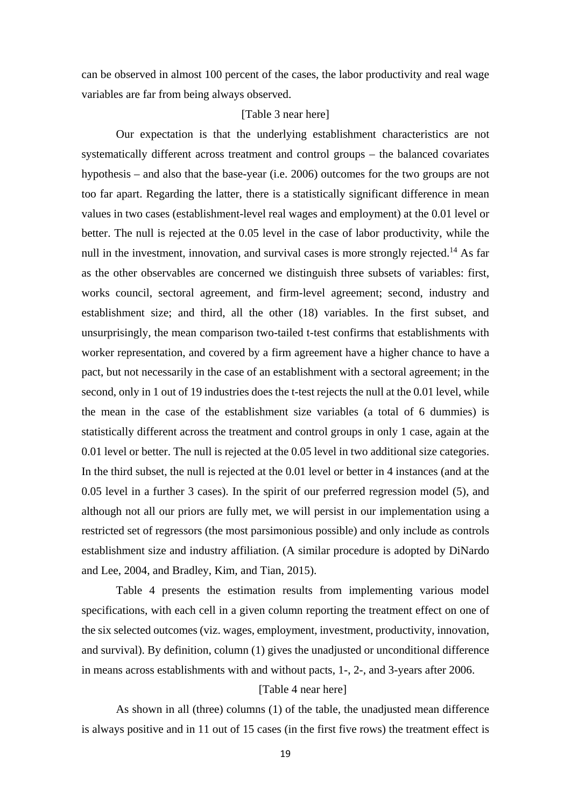can be observed in almost 100 percent of the cases, the labor productivity and real wage variables are far from being always observed.

#### [Table 3 near here]

Our expectation is that the underlying establishment characteristics are not systematically different across treatment and control groups – the balanced covariates hypothesis – and also that the base-year (i.e. 2006) outcomes for the two groups are not too far apart. Regarding the latter, there is a statistically significant difference in mean values in two cases (establishment-level real wages and employment) at the 0.01 level or better. The null is rejected at the 0.05 level in the case of labor productivity, while the null in the investment, innovation, and survival cases is more strongly rejected.<sup>14</sup> As far as the other observables are concerned we distinguish three subsets of variables: first, works council, sectoral agreement, and firm-level agreement; second, industry and establishment size; and third, all the other (18) variables. In the first subset, and unsurprisingly, the mean comparison two-tailed t-test confirms that establishments with worker representation, and covered by a firm agreement have a higher chance to have a pact, but not necessarily in the case of an establishment with a sectoral agreement; in the second, only in 1 out of 19 industries does the t-test rejects the null at the 0.01 level, while the mean in the case of the establishment size variables (a total of 6 dummies) is statistically different across the treatment and control groups in only 1 case, again at the 0.01 level or better. The null is rejected at the 0.05 level in two additional size categories. In the third subset, the null is rejected at the 0.01 level or better in 4 instances (and at the 0.05 level in a further 3 cases). In the spirit of our preferred regression model (5), and although not all our priors are fully met, we will persist in our implementation using a restricted set of regressors (the most parsimonious possible) and only include as controls establishment size and industry affiliation. (A similar procedure is adopted by DiNardo and Lee, 2004, and Bradley, Kim, and Tian, 2015).

Table 4 presents the estimation results from implementing various model specifications, with each cell in a given column reporting the treatment effect on one of the six selected outcomes (viz. wages, employment, investment, productivity, innovation, and survival). By definition, column (1) gives the unadjusted or unconditional difference in means across establishments with and without pacts, 1-, 2-, and 3-years after 2006.

#### [Table 4 near here]

As shown in all (three) columns (1) of the table, the unadjusted mean difference is always positive and in 11 out of 15 cases (in the first five rows) the treatment effect is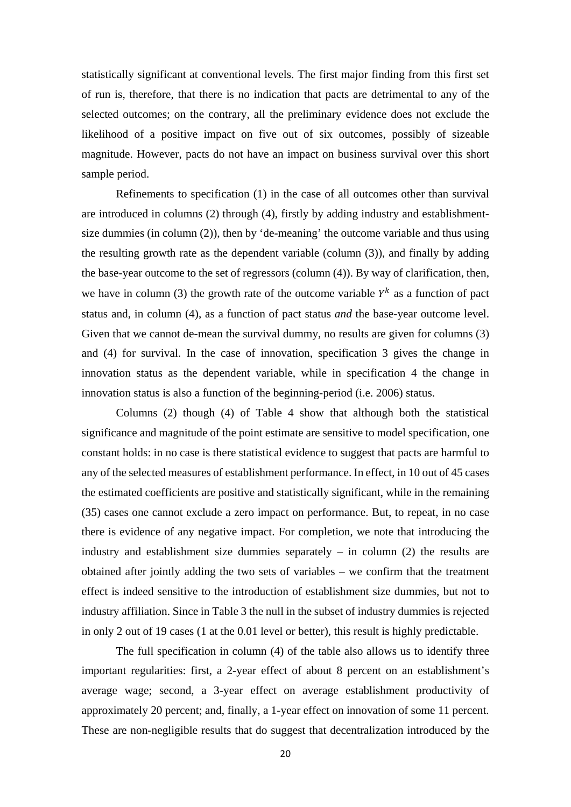statistically significant at conventional levels. The first major finding from this first set of run is, therefore, that there is no indication that pacts are detrimental to any of the selected outcomes; on the contrary, all the preliminary evidence does not exclude the likelihood of a positive impact on five out of six outcomes, possibly of sizeable magnitude. However, pacts do not have an impact on business survival over this short sample period.

Refinements to specification (1) in the case of all outcomes other than survival are introduced in columns (2) through (4), firstly by adding industry and establishmentsize dummies (in column (2)), then by 'de-meaning' the outcome variable and thus using the resulting growth rate as the dependent variable (column (3)), and finally by adding the base-year outcome to the set of regressors (column (4)). By way of clarification, then, we have in column (3) the growth rate of the outcome variable  $Y^k$  as a function of pact status and, in column (4), as a function of pact status *and* the base-year outcome level. Given that we cannot de-mean the survival dummy, no results are given for columns (3) and (4) for survival. In the case of innovation, specification 3 gives the change in innovation status as the dependent variable, while in specification 4 the change in innovation status is also a function of the beginning-period (i.e. 2006) status.

Columns (2) though (4) of Table 4 show that although both the statistical significance and magnitude of the point estimate are sensitive to model specification, one constant holds: in no case is there statistical evidence to suggest that pacts are harmful to any of the selected measures of establishment performance. In effect, in 10 out of 45 cases the estimated coefficients are positive and statistically significant, while in the remaining (35) cases one cannot exclude a zero impact on performance. But, to repeat, in no case there is evidence of any negative impact. For completion, we note that introducing the industry and establishment size dummies separately – in column (2) the results are obtained after jointly adding the two sets of variables – we confirm that the treatment effect is indeed sensitive to the introduction of establishment size dummies, but not to industry affiliation. Since in Table 3 the null in the subset of industry dummies is rejected in only 2 out of 19 cases (1 at the 0.01 level or better), this result is highly predictable.

The full specification in column (4) of the table also allows us to identify three important regularities: first, a 2-year effect of about 8 percent on an establishment's average wage; second, a 3-year effect on average establishment productivity of approximately 20 percent; and, finally, a 1-year effect on innovation of some 11 percent. These are non-negligible results that do suggest that decentralization introduced by the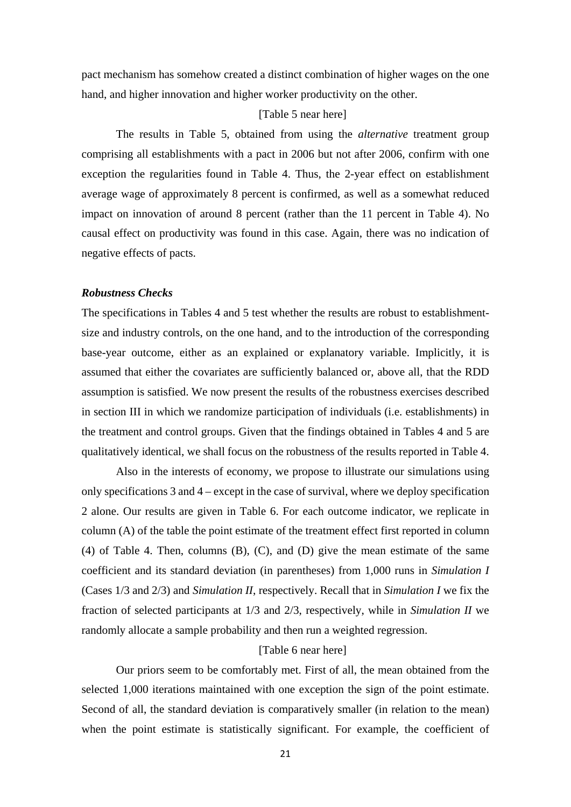pact mechanism has somehow created a distinct combination of higher wages on the one hand, and higher innovation and higher worker productivity on the other.

#### [Table 5 near here]

The results in Table 5, obtained from using the *alternative* treatment group comprising all establishments with a pact in 2006 but not after 2006, confirm with one exception the regularities found in Table 4. Thus, the 2-year effect on establishment average wage of approximately 8 percent is confirmed, as well as a somewhat reduced impact on innovation of around 8 percent (rather than the 11 percent in Table 4). No causal effect on productivity was found in this case. Again, there was no indication of negative effects of pacts.

#### *Robustness Checks*

The specifications in Tables 4 and 5 test whether the results are robust to establishmentsize and industry controls, on the one hand, and to the introduction of the corresponding base-year outcome, either as an explained or explanatory variable. Implicitly, it is assumed that either the covariates are sufficiently balanced or, above all, that the RDD assumption is satisfied. We now present the results of the robustness exercises described in section III in which we randomize participation of individuals (i.e. establishments) in the treatment and control groups. Given that the findings obtained in Tables 4 and 5 are qualitatively identical, we shall focus on the robustness of the results reported in Table 4.

Also in the interests of economy, we propose to illustrate our simulations using only specifications 3 and 4 – except in the case of survival, where we deploy specification 2 alone. Our results are given in Table 6. For each outcome indicator, we replicate in column (A) of the table the point estimate of the treatment effect first reported in column (4) of Table 4. Then, columns (B), (C), and (D) give the mean estimate of the same coefficient and its standard deviation (in parentheses) from 1,000 runs in *Simulation I* (Cases 1/3 and 2/3) and *Simulation II*, respectively. Recall that in *Simulation I* we fix the fraction of selected participants at 1/3 and 2/3, respectively, while in *Simulation II* we randomly allocate a sample probability and then run a weighted regression.

#### [Table 6 near here]

Our priors seem to be comfortably met. First of all, the mean obtained from the selected 1,000 iterations maintained with one exception the sign of the point estimate. Second of all, the standard deviation is comparatively smaller (in relation to the mean) when the point estimate is statistically significant. For example, the coefficient of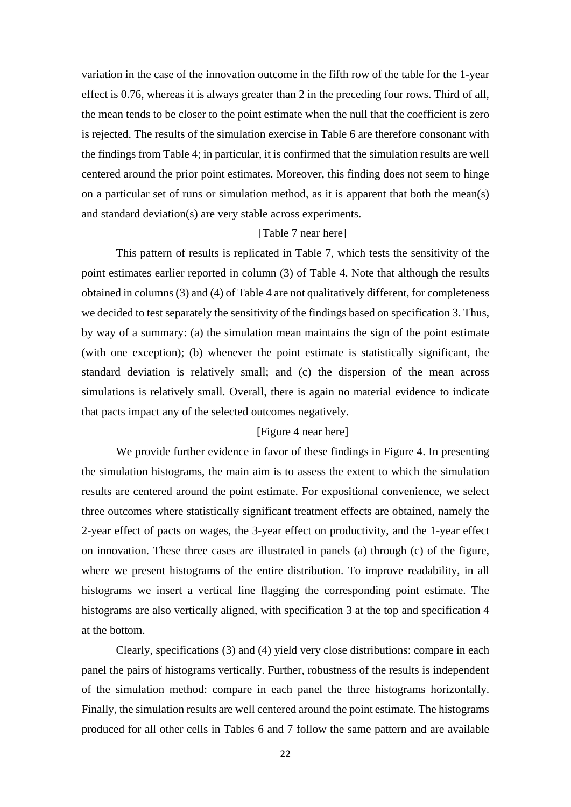variation in the case of the innovation outcome in the fifth row of the table for the 1-year effect is 0.76, whereas it is always greater than 2 in the preceding four rows. Third of all, the mean tends to be closer to the point estimate when the null that the coefficient is zero is rejected. The results of the simulation exercise in Table 6 are therefore consonant with the findings from Table 4; in particular, it is confirmed that the simulation results are well centered around the prior point estimates. Moreover, this finding does not seem to hinge on a particular set of runs or simulation method, as it is apparent that both the mean(s) and standard deviation(s) are very stable across experiments.

#### [Table 7 near here]

This pattern of results is replicated in Table 7, which tests the sensitivity of the point estimates earlier reported in column (3) of Table 4. Note that although the results obtained in columns (3) and (4) of Table 4 are not qualitatively different, for completeness we decided to test separately the sensitivity of the findings based on specification 3. Thus, by way of a summary: (a) the simulation mean maintains the sign of the point estimate (with one exception); (b) whenever the point estimate is statistically significant, the standard deviation is relatively small; and (c) the dispersion of the mean across simulations is relatively small. Overall, there is again no material evidence to indicate that pacts impact any of the selected outcomes negatively.

#### [Figure 4 near here]

We provide further evidence in favor of these findings in Figure 4. In presenting the simulation histograms, the main aim is to assess the extent to which the simulation results are centered around the point estimate. For expositional convenience, we select three outcomes where statistically significant treatment effects are obtained, namely the 2-year effect of pacts on wages, the 3-year effect on productivity, and the 1-year effect on innovation. These three cases are illustrated in panels (a) through (c) of the figure, where we present histograms of the entire distribution. To improve readability, in all histograms we insert a vertical line flagging the corresponding point estimate. The histograms are also vertically aligned, with specification 3 at the top and specification 4 at the bottom.

Clearly, specifications (3) and (4) yield very close distributions: compare in each panel the pairs of histograms vertically. Further, robustness of the results is independent of the simulation method: compare in each panel the three histograms horizontally. Finally, the simulation results are well centered around the point estimate. The histograms produced for all other cells in Tables 6 and 7 follow the same pattern and are available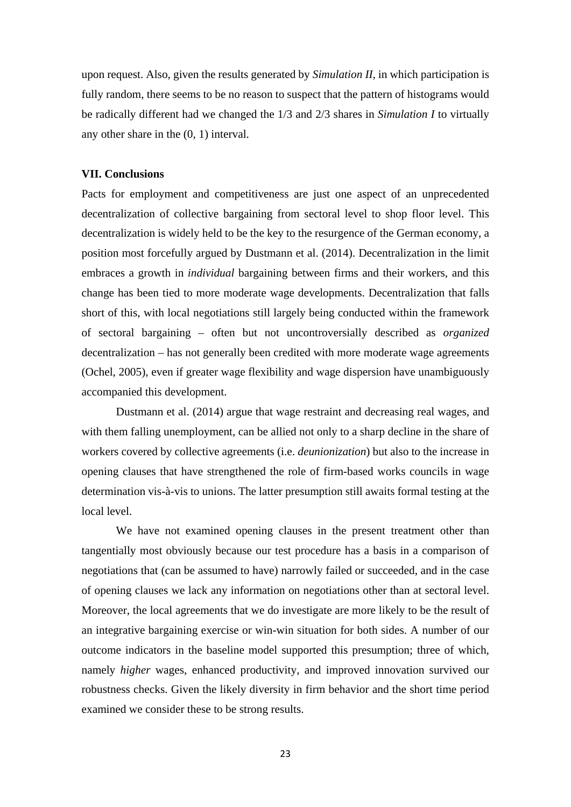upon request. Also, given the results generated by *Simulation II*, in which participation is fully random, there seems to be no reason to suspect that the pattern of histograms would be radically different had we changed the 1/3 and 2/3 shares in *Simulation I* to virtually any other share in the (0, 1) interval.

#### **VII. Conclusions**

Pacts for employment and competitiveness are just one aspect of an unprecedented decentralization of collective bargaining from sectoral level to shop floor level. This decentralization is widely held to be the key to the resurgence of the German economy, a position most forcefully argued by Dustmann et al. (2014). Decentralization in the limit embraces a growth in *individual* bargaining between firms and their workers, and this change has been tied to more moderate wage developments. Decentralization that falls short of this, with local negotiations still largely being conducted within the framework of sectoral bargaining – often but not uncontroversially described as *organized*  decentralization – has not generally been credited with more moderate wage agreements (Ochel, 2005), even if greater wage flexibility and wage dispersion have unambiguously accompanied this development.

Dustmann et al. (2014) argue that wage restraint and decreasing real wages, and with them falling unemployment, can be allied not only to a sharp decline in the share of workers covered by collective agreements (i.e. *deunionization*) but also to the increase in opening clauses that have strengthened the role of firm-based works councils in wage determination vis-à-vis to unions. The latter presumption still awaits formal testing at the local level.

We have not examined opening clauses in the present treatment other than tangentially most obviously because our test procedure has a basis in a comparison of negotiations that (can be assumed to have) narrowly failed or succeeded, and in the case of opening clauses we lack any information on negotiations other than at sectoral level. Moreover, the local agreements that we do investigate are more likely to be the result of an integrative bargaining exercise or win-win situation for both sides. A number of our outcome indicators in the baseline model supported this presumption; three of which, namely *higher* wages, enhanced productivity, and improved innovation survived our robustness checks. Given the likely diversity in firm behavior and the short time period examined we consider these to be strong results.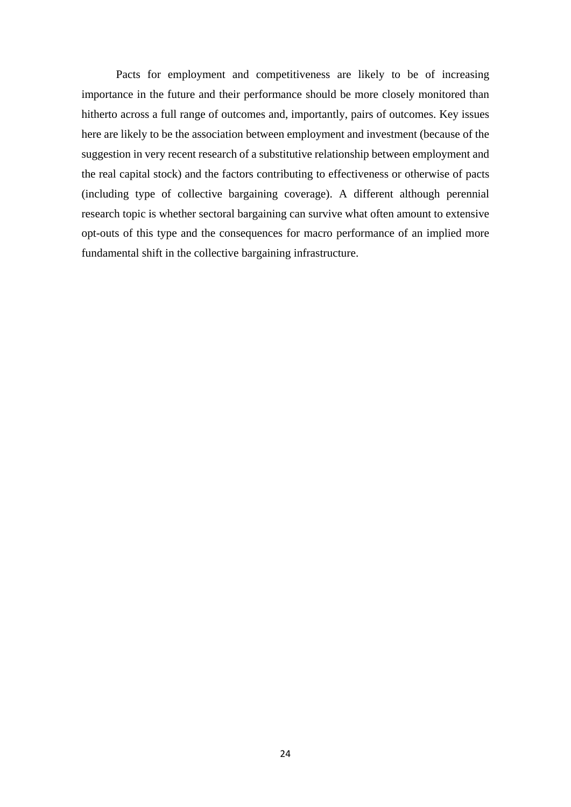Pacts for employment and competitiveness are likely to be of increasing importance in the future and their performance should be more closely monitored than hitherto across a full range of outcomes and, importantly, pairs of outcomes. Key issues here are likely to be the association between employment and investment (because of the suggestion in very recent research of a substitutive relationship between employment and the real capital stock) and the factors contributing to effectiveness or otherwise of pacts (including type of collective bargaining coverage). A different although perennial research topic is whether sectoral bargaining can survive what often amount to extensive opt-outs of this type and the consequences for macro performance of an implied more fundamental shift in the collective bargaining infrastructure.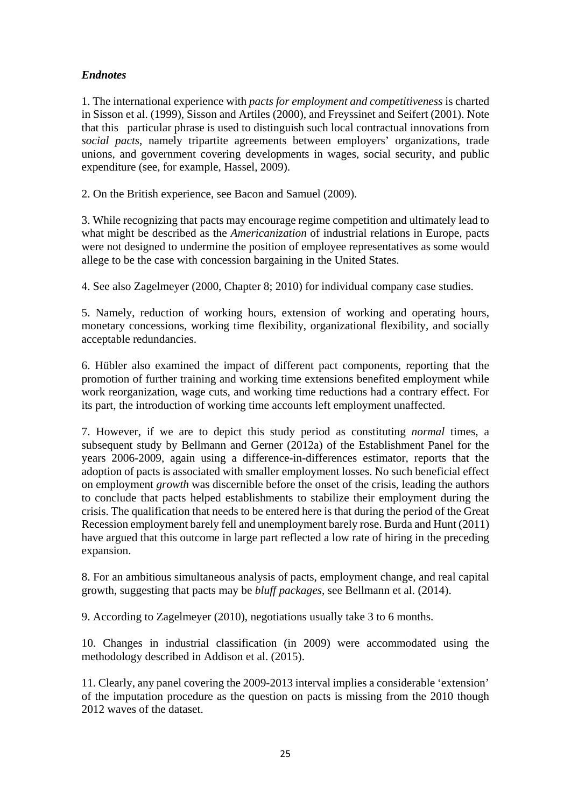### *Endnotes*

1. The international experience with *pacts for employment and competitiveness* is charted in Sisson et al. (1999), Sisson and Artiles (2000), and Freyssinet and Seifert (2001). Note that this particular phrase is used to distinguish such local contractual innovations from *social pacts*, namely tripartite agreements between employers' organizations, trade unions, and government covering developments in wages, social security, and public expenditure (see, for example, Hassel, 2009).

2. On the British experience, see Bacon and Samuel (2009).

3. While recognizing that pacts may encourage regime competition and ultimately lead to what might be described as the *Americanization* of industrial relations in Europe, pacts were not designed to undermine the position of employee representatives as some would allege to be the case with concession bargaining in the United States.

4. See also Zagelmeyer (2000, Chapter 8; 2010) for individual company case studies.

5. Namely, reduction of working hours, extension of working and operating hours, monetary concessions, working time flexibility, organizational flexibility, and socially acceptable redundancies.

6. Hübler also examined the impact of different pact components, reporting that the promotion of further training and working time extensions benefited employment while work reorganization, wage cuts, and working time reductions had a contrary effect. For its part, the introduction of working time accounts left employment unaffected.

7. However, if we are to depict this study period as constituting *normal* times, a subsequent study by Bellmann and Gerner (2012a) of the Establishment Panel for the years 2006-2009, again using a difference-in-differences estimator, reports that the adoption of pacts is associated with smaller employment losses. No such beneficial effect on employment *growth* was discernible before the onset of the crisis, leading the authors to conclude that pacts helped establishments to stabilize their employment during the crisis. The qualification that needs to be entered here is that during the period of the Great Recession employment barely fell and unemployment barely rose. Burda and Hunt (2011) have argued that this outcome in large part reflected a low rate of hiring in the preceding expansion.

8. For an ambitious simultaneous analysis of pacts, employment change, and real capital growth, suggesting that pacts may be *bluff packages*, see Bellmann et al. (2014).

9. According to Zagelmeyer (2010), negotiations usually take 3 to 6 months.

10. Changes in industrial classification (in 2009) were accommodated using the methodology described in Addison et al. (2015).

11. Clearly, any panel covering the 2009-2013 interval implies a considerable 'extension' of the imputation procedure as the question on pacts is missing from the 2010 though 2012 waves of the dataset.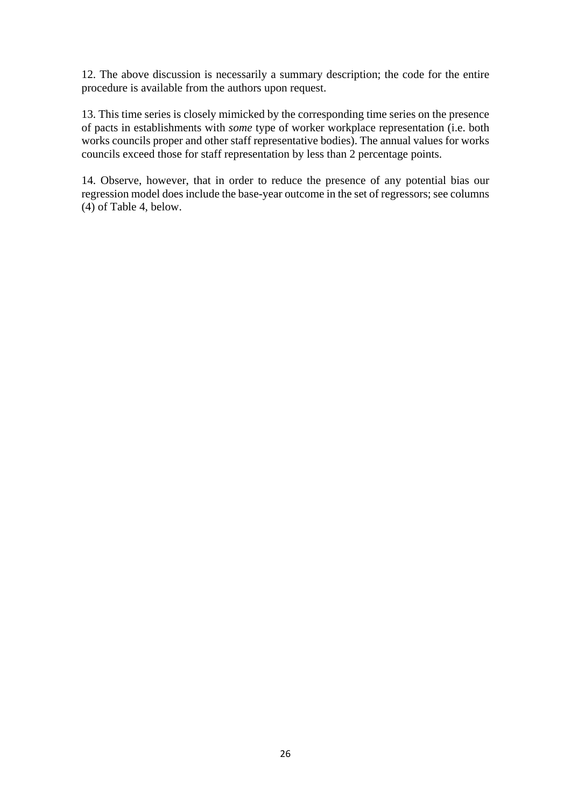12. The above discussion is necessarily a summary description; the code for the entire procedure is available from the authors upon request.

13. This time series is closely mimicked by the corresponding time series on the presence of pacts in establishments with *some* type of worker workplace representation (i.e. both works councils proper and other staff representative bodies). The annual values for works councils exceed those for staff representation by less than 2 percentage points.

14. Observe, however, that in order to reduce the presence of any potential bias our regression model does include the base-year outcome in the set of regressors; see columns (4) of Table 4, below.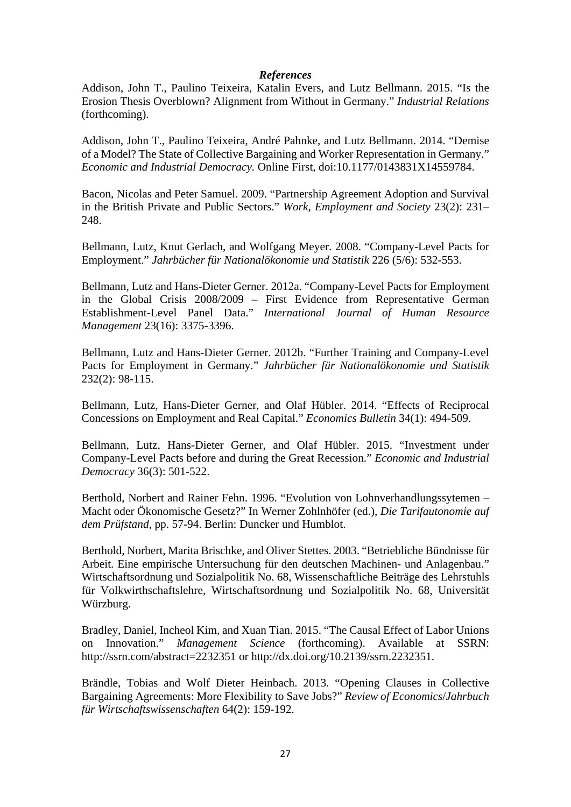#### *References*

Addison, John T., Paulino Teixeira, Katalin Evers, and Lutz Bellmann. 2015. "Is the Erosion Thesis Overblown? Alignment from Without in Germany." *Industrial Relations* (forthcoming).

Addison, John T., Paulino Teixeira, André Pahnke, and Lutz Bellmann. 2014. "Demise of a Model? The State of Collective Bargaining and Worker Representation in Germany." *Economic and Industrial Democracy.* Online First, doi:10.1177/0143831X14559784.

Bacon, Nicolas and Peter Samuel. 2009. "Partnership Agreement Adoption and Survival in the British Private and Public Sectors." *Work, Employment and Society* 23(2): 231– 248.

Bellmann, Lutz, Knut Gerlach, and Wolfgang Meyer. 2008. "Company-Level Pacts for Employment." *Jahrbücher für Nationalökonomie und Statistik* 226 (5/6): 532-553.

Bellmann, Lutz and Hans-Dieter Gerner. 2012a. "Company-Level Pacts for Employment in the Global Crisis 2008/2009 – First Evidence from Representative German Establishment-Level Panel Data." *International Journal of Human Resource Management* 23(16): 3375-3396.

Bellmann, Lutz and Hans-Dieter Gerner. 2012b. "Further Training and Company-Level Pacts for Employment in Germany." *Jahrbücher für Nationalökonomie und Statistik* 232(2): 98-115.

Bellmann, Lutz, Hans-Dieter Gerner, and Olaf Hübler. 2014. "Effects of Reciprocal Concessions on Employment and Real Capital." *Economics Bulletin* 34(1): 494-509.

Bellmann, Lutz, Hans-Dieter Gerner, and Olaf Hübler. 2015. "Investment under Company-Level Pacts before and during the Great Recession." *Economic and Industrial Democracy* 36(3): 501-522.

Berthold, Norbert and Rainer Fehn. 1996. "Evolution von Lohnverhandlungssytemen – Macht oder Ökonomische Gesetz?" In Werner Zohlnhöfer (ed.), *Die Tarifautonomie auf dem Prüfstand*, pp. 57-94. Berlin: Duncker und Humblot.

Berthold, Norbert, Marita Brischke, and Oliver Stettes. 2003. "Betriebliche Bündnisse für Arbeit. Eine empirische Untersuchung für den deutschen Machinen- und Anlagenbau." Wirtschaftsordnung und Sozialpolitik No. 68, Wissenschaftliche Beiträge des Lehrstuhls für Volkwirthschaftslehre, Wirtschaftsordnung und Sozialpolitik No. 68, Universität Würzburg.

Bradley, Daniel, Incheol Kim, and Xuan Tian. 2015. "The Causal Effect of Labor Unions on Innovation." *Management Science* (forthcoming). Available at SSRN: http://ssrn.com/abstract=2232351 or http://dx.doi.org/10.2139/ssrn.2232351.

Brändle, Tobias and Wolf Dieter Heinbach. 2013. "Opening Clauses in Collective Bargaining Agreements: More Flexibility to Save Jobs?" *Review of Economics*/*Jahrbuch für Wirtschaftswissenschaften* 64(2): 159-192.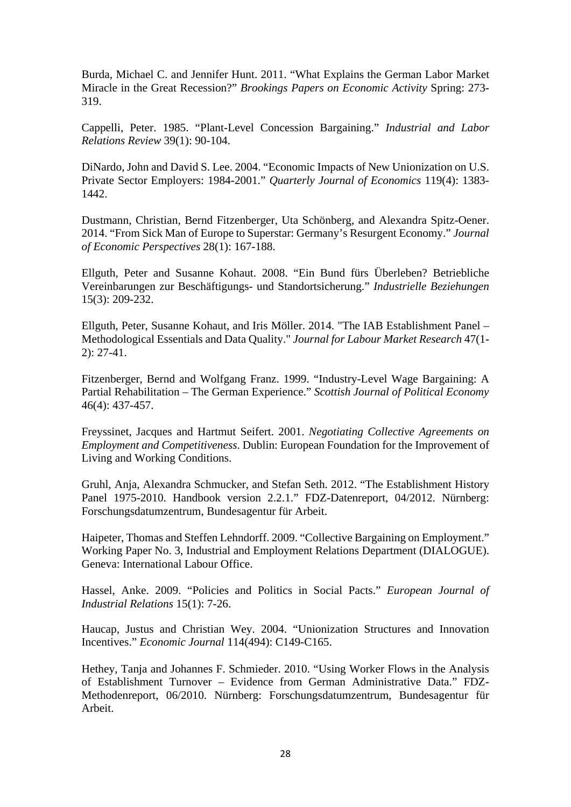Burda, Michael C. and Jennifer Hunt. 2011. "What Explains the German Labor Market Miracle in the Great Recession?" *Brookings Papers on Economic Activity* Spring: 273- 319.

Cappelli, Peter. 1985. "Plant-Level Concession Bargaining." *Industrial and Labor Relations Review* 39(1): 90-104.

DiNardo, John and David S. Lee. 2004. "Economic Impacts of New Unionization on U.S. Private Sector Employers: 1984-2001." *Quarterly Journal of Economics* 119(4): 1383- 1442.

Dustmann, Christian, Bernd Fitzenberger, Uta Schönberg, and Alexandra Spitz-Oener. 2014. "From Sick Man of Europe to Superstar: Germany's Resurgent Economy." *Journal of Economic Perspectives* 28(1): 167-188.

Ellguth, Peter and Susanne Kohaut. 2008. "Ein Bund fürs Überleben? Betriebliche Vereinbarungen zur Beschäftigungs- und Standortsicherung." *Industrielle Beziehungen*  15(3): 209-232.

Ellguth, Peter, Susanne Kohaut, and Iris Möller. 2014. "The IAB Establishment Panel – Methodological Essentials and Data Quality." *Journal for Labour Market Research* 47(1- 2): 27-41.

Fitzenberger, Bernd and Wolfgang Franz. 1999. "Industry-Level Wage Bargaining: A Partial Rehabilitation – The German Experience." *Scottish Journal of Political Economy* 46(4): 437-457.

Freyssinet, Jacques and Hartmut Seifert. 2001. *Negotiating Collective Agreements on Employment and Competitiveness*. Dublin: European Foundation for the Improvement of Living and Working Conditions.

Gruhl, Anja, Alexandra Schmucker, and Stefan Seth. 2012. "The Establishment History Panel 1975-2010. Handbook version 2.2.1." FDZ-Datenreport, 04/2012. Nürnberg: Forschungsdatumzentrum, Bundesagentur für Arbeit.

Haipeter, Thomas and Steffen Lehndorff. 2009. "Collective Bargaining on Employment." Working Paper No. 3, Industrial and Employment Relations Department (DIALOGUE). Geneva: International Labour Office.

Hassel, Anke. 2009. "Policies and Politics in Social Pacts." *European Journal of Industrial Relations* 15(1): 7-26.

Haucap, Justus and Christian Wey. 2004. "Unionization Structures and Innovation Incentives." *Economic Journal* 114(494): C149-C165.

Hethey, Tanja and Johannes F. Schmieder. 2010. "Using Worker Flows in the Analysis of Establishment Turnover – Evidence from German Administrative Data." FDZ-Methodenreport, 06/2010. Nürnberg: Forschungsdatumzentrum, Bundesagentur für Arbeit.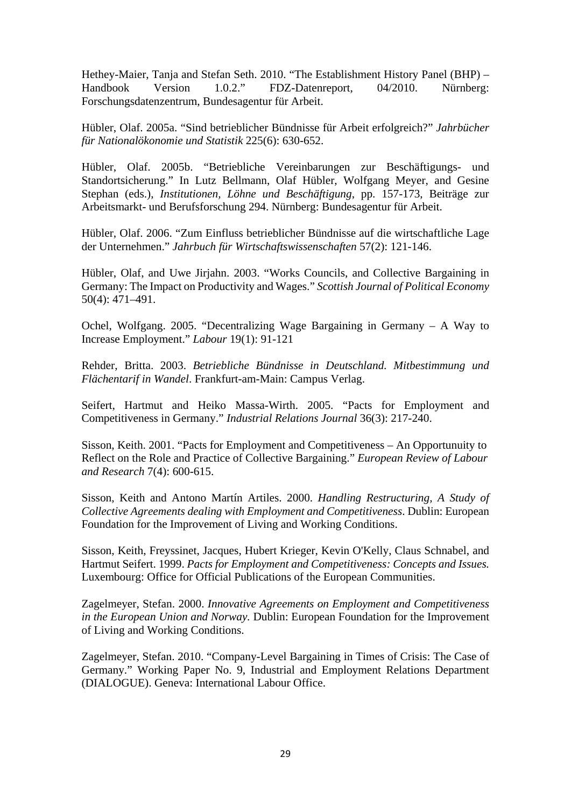Hethey-Maier, Tanja and Stefan Seth. 2010. "The Establishment History Panel (BHP) – Handbook Version 1.0.2." FDZ-Datenreport, 04/2010. Nürnberg: Forschungsdatenzentrum, Bundesagentur für Arbeit.

Hübler, Olaf. 2005a. "Sind betrieblicher Bündnisse für Arbeit erfolgreich?" *Jahrbücher für Nationalökonomie und Statistik* 225(6): 630-652.

Hübler, Olaf. 2005b. "Betriebliche Vereinbarungen zur Beschäftigungs- und Standortsicherung." In Lutz Bellmann, Olaf Hübler, Wolfgang Meyer, and Gesine Stephan (eds.), *Institutionen, Löhne und Beschäftigung*, pp. 157-173, Beiträge zur Arbeitsmarkt- und Berufsforschung 294. Nürnberg: Bundesagentur für Arbeit.

Hübler, Olaf. 2006. "Zum Einfluss betrieblicher Bündnisse auf die wirtschaftliche Lage der Unternehmen." *Jahrbuch für Wirtschaftswissenschaften* 57(2): 121-146.

Hübler, Olaf, and Uwe Jirjahn. 2003. "Works Councils, and Collective Bargaining in Germany: The Impact on Productivity and Wages." *Scottish Journal of Political Economy*  50(4): 471–491.

Ochel, Wolfgang. 2005. "Decentralizing Wage Bargaining in Germany – A Way to Increase Employment." *Labour* 19(1): 91-121

Rehder, Britta. 2003. *Betriebliche Bündnisse in Deutschland. Mitbestimmung und Flächentarif in Wandel*. Frankfurt-am-Main: Campus Verlag.

Seifert, Hartmut and Heiko Massa-Wirth. 2005. "Pacts for Employment and Competitiveness in Germany." *Industrial Relations Journal* 36(3): 217-240.

Sisson, Keith. 2001. "Pacts for Employment and Competitiveness – An Opportunuity to Reflect on the Role and Practice of Collective Bargaining." *European Review of Labour and Research* 7(4): 600-615.

Sisson, Keith and Antono Martín Artiles. 2000. *Handling Restructuring, A Study of Collective Agreements dealing with Employment and Competitiveness*. Dublin: European Foundation for the Improvement of Living and Working Conditions.

Sisson, Keith, Freyssinet, Jacques, Hubert Krieger, Kevin O'Kelly, Claus Schnabel, and Hartmut Seifert. 1999. *Pacts for Employment and Competitiveness: Concepts and Issues.*  Luxembourg: Office for Official Publications of the European Communities.

Zagelmeyer, Stefan. 2000. *Innovative Agreements on Employment and Competitiveness in the European Union and Norway.* Dublin: European Foundation for the Improvement of Living and Working Conditions.

Zagelmeyer, Stefan. 2010. "Company-Level Bargaining in Times of Crisis: The Case of Germany." Working Paper No. 9, Industrial and Employment Relations Department (DIALOGUE). Geneva: International Labour Office.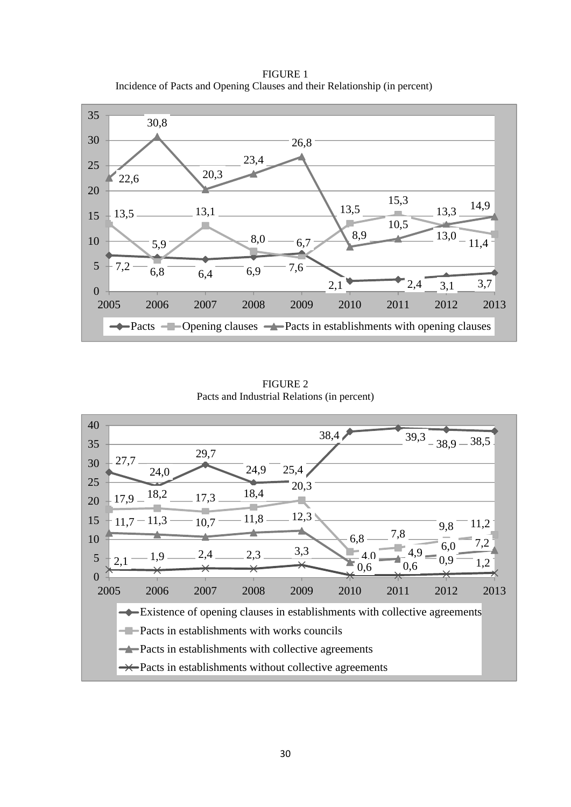FIGURE 1 Incidence of Pacts and Opening Clauses and their Relationship (in percent)



FIGURE 2 Pacts and Industrial Relations (in percent)

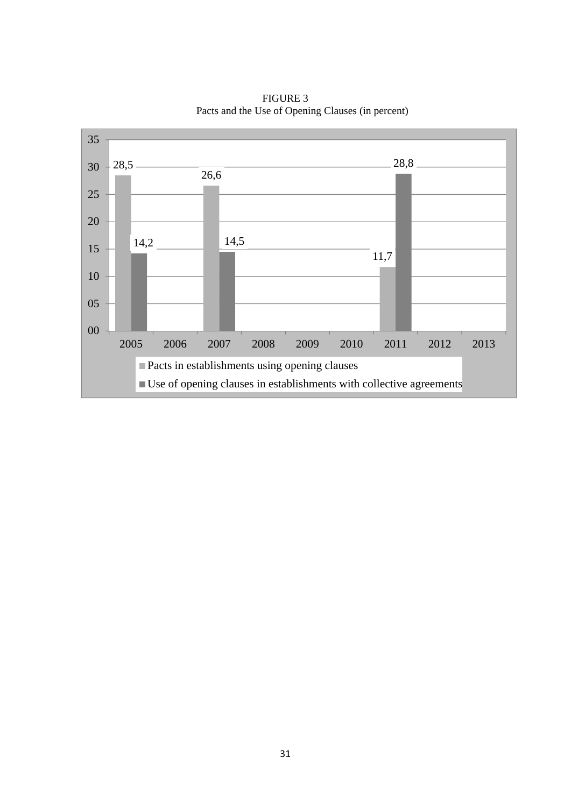

FIGURE 3 Pacts and the Use of Opening Clauses (in percent)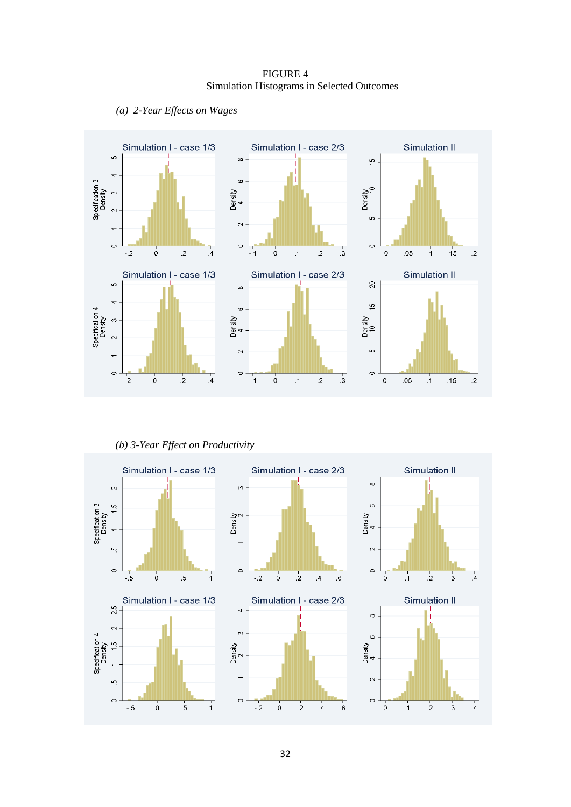FIGURE 4 Simulation Histograms in Selected Outcomes





*(b) 3-Year Effect on Productivity*

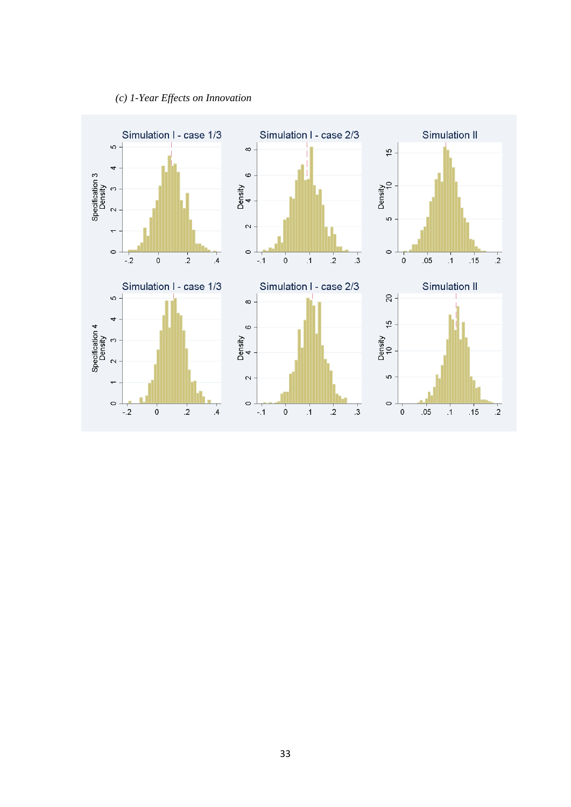

### *(c) 1-Year Effects on Innovation*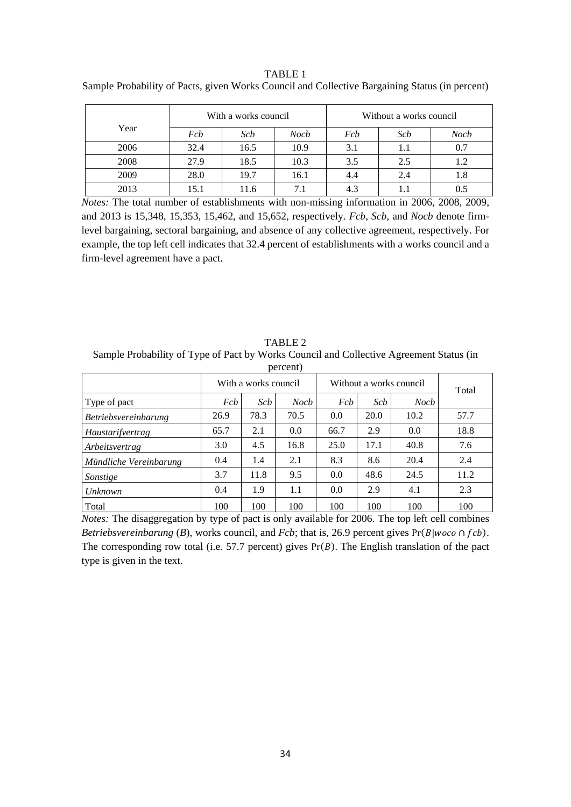#### TABLE 1

Sample Probability of Pacts, given Works Council and Collective Bargaining Status (in percent)

|      |      | With a works council |             | Without a works council |     |      |  |  |
|------|------|----------------------|-------------|-------------------------|-----|------|--|--|
| Year | Fcb  | Scb                  | <b>Nocb</b> | Fcb                     | Scb | Nocb |  |  |
| 2006 | 32.4 | 16.5                 | 10.9        | 3.1                     | 1.1 | 0.7  |  |  |
| 2008 | 27.9 | 18.5                 | 10.3        | 3.5                     | 2.5 |      |  |  |
| 2009 | 28.0 | 19.7                 | 16.1        | 4.4                     | 2.4 | 1.8  |  |  |
| 2013 | 15.1 | 11.6                 |             | 4.3                     |     |      |  |  |

*Notes:* The total number of establishments with non-missing information in 2006, 2008, 2009, and 2013 is 15,348, 15,353, 15,462, and 15,652, respectively. *Fcb*, *Scb*, and *Nocb* denote firmlevel bargaining, sectoral bargaining, and absence of any collective agreement, respectively. For example, the top left cell indicates that 32.4 percent of establishments with a works council and a firm-level agreement have a pact.

TABLE 2 Sample Probability of Type of Pact by Works Council and Collective Agreement Status (in percent)

| <b>DUITULI</b>              |      |                                                 |             |      |      |      |       |  |
|-----------------------------|------|-------------------------------------------------|-------------|------|------|------|-------|--|
|                             |      | With a works council<br>Without a works council |             |      |      |      |       |  |
| Type of pact                | Fcb  | Scb                                             | <b>Nocb</b> | Fcb  | Scb  | Nocb | Total |  |
| <i>Betriebsvereinbarung</i> | 26.9 | 78.3                                            | 70.5        | 0.0  | 20.0 | 10.2 | 57.7  |  |
| <i>Haustarifvertrag</i>     | 65.7 | 2.1                                             | 0.0         | 66.7 | 2.9  | 0.0  | 18.8  |  |
| Arbeitsvertrag              | 3.0  | 4.5                                             | 16.8        | 25.0 | 17.1 | 40.8 | 7.6   |  |
| Mündliche Vereinbarung      | 0.4  | 1.4                                             | 2.1         | 8.3  | 8.6  | 20.4 | 2.4   |  |
| Sonstige                    | 3.7  | 11.8                                            | 9.5         | 0.0  | 48.6 | 24.5 | 11.2  |  |
| Unknown                     | 0.4  | 1.9                                             | 1.1         | 0.0  | 2.9  | 4.1  | 2.3   |  |
| Total                       | 100  | 100                                             | 100         | 100  | 100  | 100  | 100   |  |

*Notes:* The disaggregation by type of pact is only available for 2006. The top left cell combines *Betriebsvereinbarung* (*B*), works council, and  $Fcb$ ; that is, 26.9 percent gives Pr( $B|woc$ <sup>o</sup> ∩  $fcb$ ). The corresponding row total (i.e. 57.7 percent) gives  $Pr(B)$ . The English translation of the pact type is given in the text.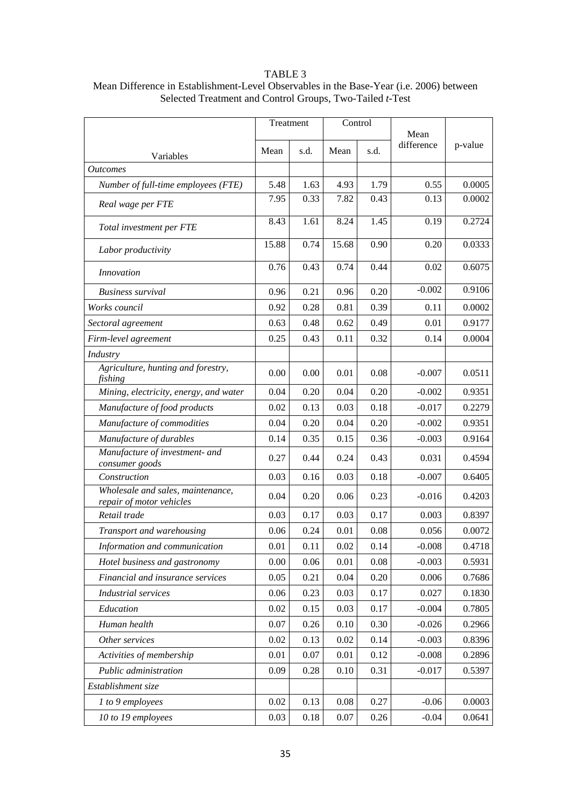#### TABLE 3

### Mean Difference in Establishment-Level Observables in the Base-Year (i.e. 2006) between Selected Treatment and Control Groups, Two-Tailed *t*-Test

|                                                               | Treatment |      | Control |      | Mean       |         |
|---------------------------------------------------------------|-----------|------|---------|------|------------|---------|
| Variables                                                     | Mean      | s.d. | Mean    | s.d. | difference | p-value |
| <i>Outcomes</i>                                               |           |      |         |      |            |         |
| Number of full-time employees (FTE)                           | 5.48      | 1.63 | 4.93    | 1.79 | 0.55       | 0.0005  |
| Real wage per FTE                                             | 7.95      | 0.33 | 7.82    | 0.43 | 0.13       | 0.0002  |
| Total investment per FTE                                      | 8.43      | 1.61 | 8.24    | 1.45 | 0.19       | 0.2724  |
| Labor productivity                                            | 15.88     | 0.74 | 15.68   | 0.90 | 0.20       | 0.0333  |
| Innovation                                                    | 0.76      | 0.43 | 0.74    | 0.44 | 0.02       | 0.6075  |
| <b>Business survival</b>                                      | 0.96      | 0.21 | 0.96    | 0.20 | $-0.002$   | 0.9106  |
| Works council                                                 | 0.92      | 0.28 | 0.81    | 0.39 | 0.11       | 0.0002  |
| Sectoral agreement                                            | 0.63      | 0.48 | 0.62    | 0.49 | 0.01       | 0.9177  |
| Firm-level agreement                                          | 0.25      | 0.43 | 0.11    | 0.32 | 0.14       | 0.0004  |
| Industry                                                      |           |      |         |      |            |         |
| Agriculture, hunting and forestry,<br>fishing                 | 0.00      | 0.00 | 0.01    | 0.08 | $-0.007$   | 0.0511  |
| Mining, electricity, energy, and water                        | 0.04      | 0.20 | 0.04    | 0.20 | $-0.002$   | 0.9351  |
| Manufacture of food products                                  | 0.02      | 0.13 | 0.03    | 0.18 | $-0.017$   | 0.2279  |
| Manufacture of commodities                                    | 0.04      | 0.20 | 0.04    | 0.20 | $-0.002$   | 0.9351  |
| Manufacture of durables                                       | 0.14      | 0.35 | 0.15    | 0.36 | $-0.003$   | 0.9164  |
| Manufacture of investment- and<br>consumer goods              | 0.27      | 0.44 | 0.24    | 0.43 | 0.031      | 0.4594  |
| Construction                                                  | 0.03      | 0.16 | 0.03    | 0.18 | $-0.007$   | 0.6405  |
| Wholesale and sales, maintenance,<br>repair of motor vehicles | 0.04      | 0.20 | 0.06    | 0.23 | $-0.016$   | 0.4203  |
| Retail trade                                                  | 0.03      | 0.17 | 0.03    | 0.17 | 0.003      | 0.8397  |
| Transport and warehousing                                     | 0.06      | 0.24 | 0.01    | 0.08 | 0.056      | 0.0072  |
| Information and communication                                 | $0.01\,$  | 0.11 | 0.02    | 0.14 | $-0.008$   | 0.4718  |
| Hotel business and gastronomy                                 | 0.00      | 0.06 | 0.01    | 0.08 | $-0.003$   | 0.5931  |
| Financial and insurance services                              | 0.05      | 0.21 | 0.04    | 0.20 | 0.006      | 0.7686  |
| <b>Industrial services</b>                                    | 0.06      | 0.23 | 0.03    | 0.17 | 0.027      | 0.1830  |
| Education                                                     | 0.02      | 0.15 | 0.03    | 0.17 | $-0.004$   | 0.7805  |
| Human health                                                  | 0.07      | 0.26 | 0.10    | 0.30 | $-0.026$   | 0.2966  |
| Other services                                                | 0.02      | 0.13 | 0.02    | 0.14 | $-0.003$   | 0.8396  |
| Activities of membership                                      | 0.01      | 0.07 | 0.01    | 0.12 | $-0.008$   | 0.2896  |
| Public administration                                         | 0.09      | 0.28 | 0.10    | 0.31 | $-0.017$   | 0.5397  |
| Establishment size                                            |           |      |         |      |            |         |
| 1 to 9 employees                                              | 0.02      | 0.13 | 0.08    | 0.27 | $-0.06$    | 0.0003  |
| 10 to 19 employees                                            | 0.03      | 0.18 | 0.07    | 0.26 | $-0.04$    | 0.0641  |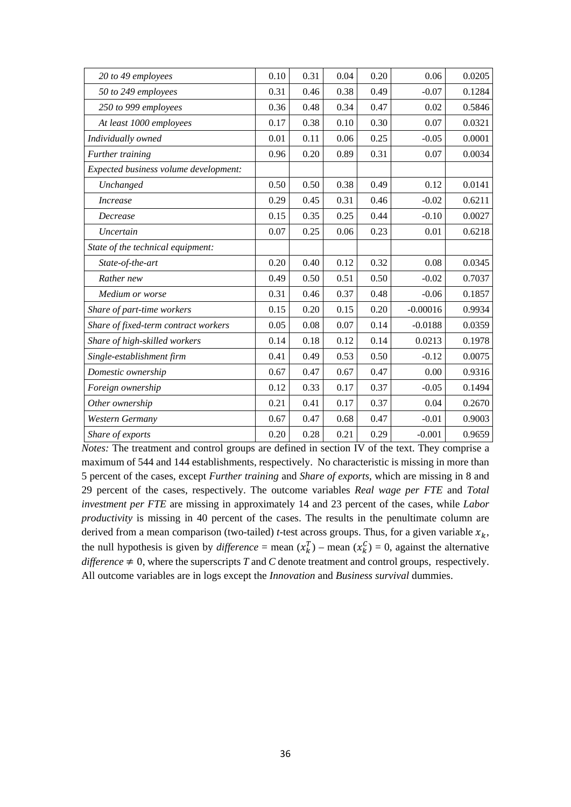| 20 to 49 employees                    | 0.10 | 0.31 | 0.04 | 0.20 | 0.06       | 0.0205 |
|---------------------------------------|------|------|------|------|------------|--------|
| 50 to 249 employees                   | 0.31 | 0.46 | 0.38 | 0.49 | $-0.07$    | 0.1284 |
| 250 to 999 employees                  | 0.36 | 0.48 | 0.34 | 0.47 | 0.02       | 0.5846 |
| At least 1000 employees               | 0.17 | 0.38 | 0.10 | 0.30 | 0.07       | 0.0321 |
| Individually owned                    | 0.01 | 0.11 | 0.06 | 0.25 | $-0.05$    | 0.0001 |
| Further training                      | 0.96 | 0.20 | 0.89 | 0.31 | 0.07       | 0.0034 |
| Expected business volume development: |      |      |      |      |            |        |
| Unchanged                             | 0.50 | 0.50 | 0.38 | 0.49 | 0.12       | 0.0141 |
| <i>Increase</i>                       | 0.29 | 0.45 | 0.31 | 0.46 | $-0.02$    | 0.6211 |
| Decrease                              | 0.15 | 0.35 | 0.25 | 0.44 | $-0.10$    | 0.0027 |
| Uncertain                             | 0.07 | 0.25 | 0.06 | 0.23 | 0.01       | 0.6218 |
| State of the technical equipment:     |      |      |      |      |            |        |
| State-of-the-art                      | 0.20 | 0.40 | 0.12 | 0.32 | 0.08       | 0.0345 |
| Rather new                            | 0.49 | 0.50 | 0.51 | 0.50 | $-0.02$    | 0.7037 |
| Medium or worse                       | 0.31 | 0.46 | 0.37 | 0.48 | $-0.06$    | 0.1857 |
| Share of part-time workers            | 0.15 | 0.20 | 0.15 | 0.20 | $-0.00016$ | 0.9934 |
| Share of fixed-term contract workers  | 0.05 | 0.08 | 0.07 | 0.14 | $-0.0188$  | 0.0359 |
| Share of high-skilled workers         | 0.14 | 0.18 | 0.12 | 0.14 | 0.0213     | 0.1978 |
| Single-establishment firm             | 0.41 | 0.49 | 0.53 | 0.50 | $-0.12$    | 0.0075 |
| Domestic ownership                    | 0.67 | 0.47 | 0.67 | 0.47 | 0.00       | 0.9316 |
| Foreign ownership                     | 0.12 | 0.33 | 0.17 | 0.37 | $-0.05$    | 0.1494 |
| Other ownership                       | 0.21 | 0.41 | 0.17 | 0.37 | 0.04       | 0.2670 |
| Western Germany                       | 0.67 | 0.47 | 0.68 | 0.47 | $-0.01$    | 0.9003 |
| Share of exports                      | 0.20 | 0.28 | 0.21 | 0.29 | $-0.001$   | 0.9659 |

*Notes:* The treatment and control groups are defined in section IV of the text. They comprise a maximum of 544 and 144 establishments, respectively. No characteristic is missing in more than 5 percent of the cases, except *Further training* and *Share of exports*, which are missing in 8 and 29 percent of the cases, respectively. The outcome variables *Real wage per FTE* and *Total investment per FTE* are missing in approximately 14 and 23 percent of the cases, while *Labor productivity* is missing in 40 percent of the cases. The results in the penultimate column are derived from a mean comparison (two-tailed) *t*-test across groups. Thus, for a given variable  $x_k$ , the null hypothesis is given by *difference* = mean  $(x_k^T)$  – mean  $(x_k^C)$  = 0, against the alternative *difference*  $\neq$  0, where the superscripts *T* and *C* denote treatment and control groups, respectively. All outcome variables are in logs except the *Innovation* and *Business survival* dummies.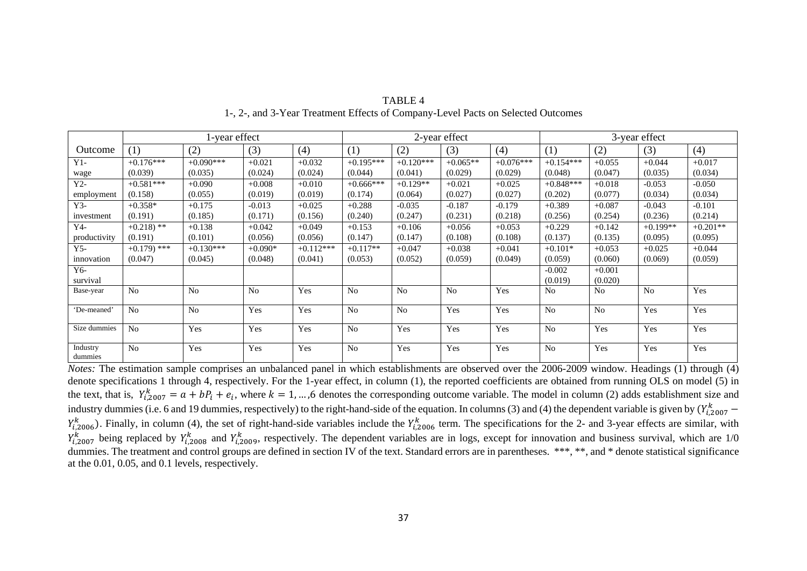|                     |                         | 2-year effect  |                |             |                | 3-year effect  |                |             |                |                |            |            |
|---------------------|-------------------------|----------------|----------------|-------------|----------------|----------------|----------------|-------------|----------------|----------------|------------|------------|
| Outcome             | (1)                     | (2)            | (3)            | (4)         | (1)            | (2)            | (3)            | (4)         | (1)            | (2)            | (3)        | (4)        |
| $Y1-$               | $+0.176***$             | $+0.090***$    | $+0.021$       | $+0.032$    | $+0.195***$    | $+0.120***$    | $+0.065**$     | $+0.076***$ | $+0.154***$    | $+0.055$       | $+0.044$   | $+0.017$   |
| wage                | (0.039)                 | (0.035)        | (0.024)        | (0.024)     | (0.044)        | (0.041)        | (0.029)        | (0.029)     | (0.048)        | (0.047)        | (0.035)    | (0.034)    |
| $Y2-$               | $+0.581***$             | $+0.090$       | $+0.008$       | $+0.010$    | $+0.666***$    | $+0.129**$     | $+0.021$       | $+0.025$    | $+0.848***$    | $+0.018$       | $-0.053$   | $-0.050$   |
| employment          | (0.158)                 | (0.055)        | (0.019)        | (0.019)     | (0.174)        | (0.064)        | (0.027)        | (0.027)     | (0.202)        | (0.077)        | (0.034)    | (0.034)    |
| $Y3-$               | $+0.358*$               | $+0.175$       | $-0.013$       | $+0.025$    | $+0.288$       | $-0.035$       | $-0.187$       | $-0.179$    | $+0.389$       | $+0.087$       | $-0.043$   | $-0.101$   |
| investment          | (0.191)                 | (0.185)        | (0.171)        | (0.156)     | (0.240)        | (0.247)        | (0.231)        | (0.218)     | (0.256)        | (0.254)        | (0.236)    | (0.214)    |
| Y4-                 | $+0.218$ <sup>**</sup>  | $+0.138$       | $+0.042$       | $+0.049$    | $+0.153$       | $+0.106$       | $+0.056$       | $+0.053$    | $+0.229$       | $+0.142$       | $+0.199**$ | $+0.201**$ |
| productivity        | (0.191)                 | (0.101)        | (0.056)        | (0.056)     | (0.147)        | (0.147)        | (0.108)        | (0.108)     | (0.137)        | (0.135)        | (0.095)    | (0.095)    |
| $Y$ 5-              | $+0.179$ <sup>***</sup> | $+0.130***$    | $+0.090*$      | $+0.112***$ | $+0.117**$     | $+0.047$       | $+0.038$       | $+0.041$    | $+0.101*$      | $+0.053$       | $+0.025$   | $+0.044$   |
| innovation          | (0.047)                 | (0.045)        | (0.048)        | (0.041)     | (0.053)        | (0.052)        | (0.059)        | (0.049)     | (0.059)        | (0.060)        | (0.069)    | (0.059)    |
| Y6-                 |                         |                |                |             |                |                |                |             | $-0.002$       | $+0.001$       |            |            |
| survival            |                         |                |                |             |                |                |                |             | (0.019)        | (0.020)        |            |            |
| Base-year           | N <sub>0</sub>          | N <sub>0</sub> | N <sub>o</sub> | Yes         | N <sub>0</sub> | N <sub>o</sub> | N <sub>0</sub> | Yes         | N <sub>0</sub> | N <sub>0</sub> | No         | Yes        |
| 'De-meaned'         | N <sub>0</sub>          | N <sub>0</sub> | Yes            | Yes         | N <sub>0</sub> | N <sub>o</sub> | Yes            | Yes         | N <sub>o</sub> | N <sub>0</sub> | Yes        | Yes        |
| Size dummies        | N <sub>0</sub>          | Yes            | Yes            | Yes         | N <sub>0</sub> | Yes            | Yes            | Yes         | N <sub>o</sub> | Yes            | Yes        | Yes        |
| Industry<br>dummies | N <sub>o</sub>          | Yes            | Yes            | Yes         | N <sub>0</sub> | Yes            | Yes            | Yes         | N <sub>o</sub> | Yes            | Yes        | Yes        |

TABLE 41-, 2-, and 3-Year Treatment Effects of Company-Level Pacts on Selected Outcomes

*Notes:* The estimation sample comprises an unbalanced panel in which establishments are observed over the 2006-2009 window. Headings (1) through (4) denote specifications 1 through 4, respectively. For the 1-year effect, in column (1), the reported coefficients are obtained from running OLS on model (5) in the text, that is,  $Y_{i,2007}^k = a + bP_i + e_i$ , where  $k = 1, ..., 6$  denotes the corresponding outcome variable. The model in column (2) adds establishment size and industry dummies (i.e. 6 and 19 dummies, respectively) to the right-hand-side of the equation. In columns (3) and (4) the dependent variable is given by  $(Y_{i,2007}^k Y_{i,2006}^{k}$ ). Finally, in column (4), the set of right-hand-side variables include the  $Y_{i,2006}^{k}$  term. The specifications for the 2- and 3-year effects are similar, with  $Y_{i,2007}^{k}$  being replaced by  $Y_{i,2008}^{k}$  and  $Y_{i,2009}^{k}$ , respectively. The dependent variables are in logs, except for innovation and business survival, which are 1/0 dummies. The treatment and control groups are defined in section IV of the text. Standard errors are in parentheses. \*\*\*, \*\*, and \* denote statistical significance at the 0.01, 0.05, and 0.1 levels, respectively.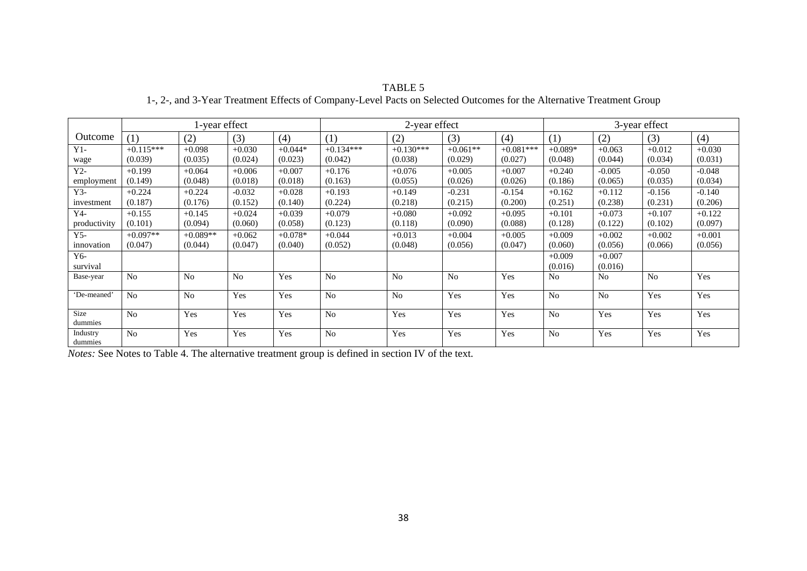#### TABLE 5

### 1-, 2-, and 3-Year Treatment Effects of Company-Level Pacts on Selected Outcomes for the Alternative Treatment Group

|                     | 1-year effect  |                |          |           | 2-year effect  |                |                |             | 3-year effect  |                |          |          |
|---------------------|----------------|----------------|----------|-----------|----------------|----------------|----------------|-------------|----------------|----------------|----------|----------|
| Outcome             | (1)            | (2)            | (3)      | (4)       | (1)            | (2)            | (3)            | (4)         | (1)            | (2)            | (3)      | (4)      |
| $Y1-$               | $+0.115***$    | $+0.098$       | $+0.030$ | $+0.044*$ | $+0.134***$    | $+0.130***$    | $+0.061**$     | $+0.081***$ | $+0.089*$      | $+0.063$       | $+0.012$ | $+0.030$ |
| wage                | (0.039)        | (0.035)        | (0.024)  | (0.023)   | (0.042)        | (0.038)        | (0.029)        | (0.027)     | (0.048)        | (0.044)        | (0.034)  | (0.031)  |
| $Y2-$               | $+0.199$       | $+0.064$       | $+0.006$ | $+0.007$  | $+0.176$       | $+0.076$       | $+0.005$       | $+0.007$    | $+0.240$       | $-0.005$       | $-0.050$ | $-0.048$ |
| employment          | (0.149)        | (0.048)        | (0.018)  | (0.018)   | (0.163)        | (0.055)        | (0.026)        | (0.026)     | (0.186)        | (0.065)        | (0.035)  | (0.034)  |
| $Y3-$               | $+0.224$       | $+0.224$       | $-0.032$ | $+0.028$  | $+0.193$       | $+0.149$       | $-0.231$       | $-0.154$    | $+0.162$       | $+0.112$       | $-0.156$ | $-0.140$ |
| investment          | (0.187)        | (0.176)        | (0.152)  | (0.140)   | (0.224)        | (0.218)        | (0.215)        | (0.200)     | (0.251)        | (0.238)        | (0.231)  | (0.206)  |
| Y4-                 | $+0.155$       | $+0.145$       | $+0.024$ | $+0.039$  | $+0.079$       | $+0.080$       | $+0.092$       | $+0.095$    | $+0.101$       | $+0.073$       | $+0.107$ | $+0.122$ |
| productivity        | (0.101)        | (0.094)        | (0.060)  | (0.058)   | (0.123)        | (0.118)        | (0.090)        | (0.088)     | (0.128)        | (0.122)        | (0.102)  | (0.097)  |
| $Y$ 5-              | $+0.097**$     | $+0.089**$     | $+0.062$ | $+0.078*$ | $+0.044$       | $+0.013$       | $+0.004$       | $+0.005$    | $+0.009$       | $+0.002$       | $+0.002$ | $+0.001$ |
| innovation          | (0.047)        | (0.044)        | (0.047)  | (0.040)   | (0.052)        | (0.048)        | (0.056)        | (0.047)     | (0.060)        | (0.056)        | (0.066)  | (0.056)  |
| $Y_{6-}$            |                |                |          |           |                |                |                |             | $+0.009$       | $+0.007$       |          |          |
| survival            |                |                |          |           |                |                |                |             | (0.016)        | (0.016)        |          |          |
| Base-year           | N <sub>0</sub> | N <sub>0</sub> | No       | Yes       | No             | N <sub>0</sub> | N <sub>0</sub> | Yes         | N <sub>0</sub> | N <sub>0</sub> | No       | Yes      |
| 'De-meaned'         | N <sub>0</sub> | N <sub>0</sub> | Yes      | Yes       | N <sub>0</sub> | N <sub>0</sub> | Yes            | Yes         | N <sub>0</sub> | N <sub>0</sub> | Yes      | Yes      |
| Size<br>dummies     | N <sub>0</sub> | Yes            | Yes      | Yes       | N <sub>0</sub> | Yes            | Yes            | Yes         | N <sub>0</sub> | Yes            | Yes      | Yes      |
| Industry<br>dummies | N <sub>0</sub> | Yes            | Yes      | Yes       | N <sub>0</sub> | Yes            | Yes            | Yes         | N <sub>0</sub> | Yes            | Yes      | Yes      |

*Notes:* See Notes to Table 4. The alternative treatment group is defined in section IV of the text.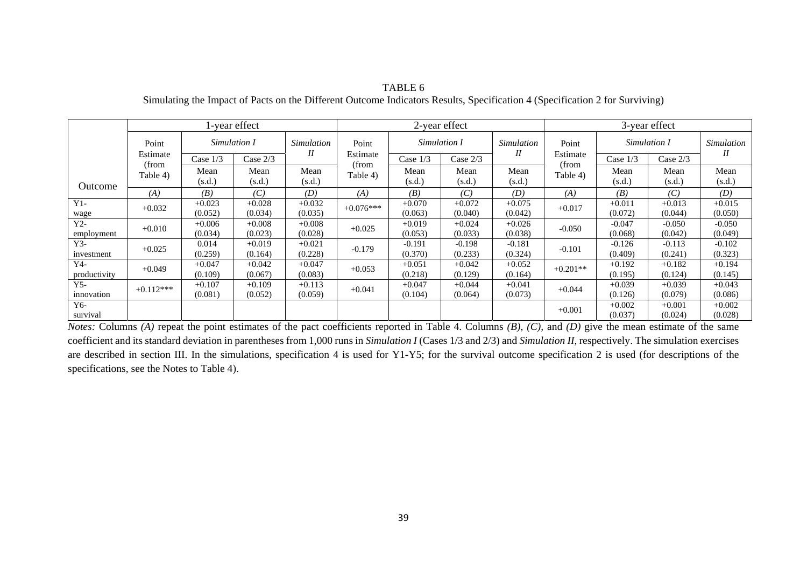|              |                   |              | l-year effect |                   |                   |              | 2-year effect |            | 3-year effect     |              |          |            |
|--------------|-------------------|--------------|---------------|-------------------|-------------------|--------------|---------------|------------|-------------------|--------------|----------|------------|
| Point        |                   | Simulation I |               | <i>Simulation</i> | Point             | Simulation I |               | Simulation | Point             | Simulation I |          | Simulation |
|              | Estimate          | Case 1/3     | Case 2/3      | I                 | Estimate          | Case 1/3     | Case $2/3$    | $I\!I$     | Estimate          | Case 1/3     | Case 2/3 | Н          |
|              | (from<br>Table 4) | Mean         | Mean          | Mean              | (from<br>Table 4) | Mean         | Mean          | Mean       | (from<br>Table 4) | Mean         | Mean     | Mean       |
| Outcome      |                   | (s.d.)       | (s.d.)        | (s.d.)            |                   | (s.d.)       | (s.d.)        | (s.d.)     |                   | (s.d.)       | (s.d.)   | (s.d.)     |
|              | (A)               | (B)          | (C)           | (D)               | (A)               | (B)          | (C)           | (D)        | (A)               | (B)          | (C)      | (D)        |
| $Y1-$        | $+0.032$          | $+0.023$     | $+0.028$      | $+0.032$          | $+0.076***$       | $+0.070$     | $+0.072$      | $+0.075$   | $+0.017$          | $+0.011$     | $+0.013$ | $+0.015$   |
| wage         |                   | (0.052)      | (0.034)       | (0.035)           |                   | (0.063)      | (0.040)       | (0.042)    |                   | (0.072)      | (0.044)  | (0.050)    |
| $Y2-$        | $+0.010$          | $+0.006$     | $+0.008$      | $+0.008$          | $+0.025$          | $+0.019$     | $+0.024$      | $+0.026$   | $-0.050$          | $-0.047$     | $-0.050$ | $-0.050$   |
| employment   |                   | (0.034)      | (0.023)       | (0.028)           |                   | (0.053)      | (0.033)       | (0.038)    |                   | (0.068)      | (0.042)  | (0.049)    |
| $Y3-$        | $+0.025$          | 0.014        | $+0.019$      | $+0.021$          | $-0.179$          | $-0.191$     | $-0.198$      | $-0.181$   | $-0.101$          | $-0.126$     | $-0.113$ | $-0.102$   |
| investment   |                   | (0.259)      | (0.164)       | (0.228)           |                   | (0.370)      | (0.233)       | (0.324)    |                   | (0.409)      | (0.241)  | (0.323)    |
| $Y$ 4-       | $+0.049$          | $+0.047$     | $+0.042$      | $+0.047$          | $+0.053$          | $+0.051$     | $+0.042$      | $+0.052$   | $+0.201**$        | $+0.192$     | $+0.182$ | $+0.194$   |
| productivity |                   | (0.109)      | (0.067)       | (0.083)           |                   | (0.218)      | (0.129)       | (0.164)    |                   | (0.195)      | (0.124)  | (0.145)    |
| $Y$ 5-       | $+0.112***$       | $+0.107$     | $+0.109$      | $+0.113$          | $+0.041$          | $+0.047$     | $+0.044$      | $+0.041$   | $+0.044$          | $+0.039$     | $+0.039$ | $+0.043$   |
| innovation   |                   | (0.081)      | (0.052)       | (0.059)           |                   | (0.104)      | (0.064)       | (0.073)    |                   | (0.126)      | (0.079)  | (0.086)    |
| Y6-          |                   |              |               |                   |                   |              |               |            |                   | $+0.002$     | $+0.001$ | $+0.002$   |
| survival     |                   |              |               |                   |                   |              |               |            | $+0.001$          | (0.037)      | (0.024)  | (0.028)    |

TABLE 6 Simulating the Impact of Pacts on the Different Outcome Indicators Results, Specification 4 (Specification 2 for Surviving)

*Notes:* Columns *(A)* repeat the point estimates of the pact coefficients reported in Table 4. Columns *(B)*, *(C),* and *(D)* give the mean estimate of the same coefficient and its standard deviation in parentheses from 1,000 runs in *Simulation I* (Cases 1/3 and 2/3) and *Simulation II*, respectively. The simulation exercises are described in section III. In the simulations, specification 4 is used for Y1-Y5; for the survival outcome specification 2 is used (for descriptions of the specifications, see the Notes to Table 4).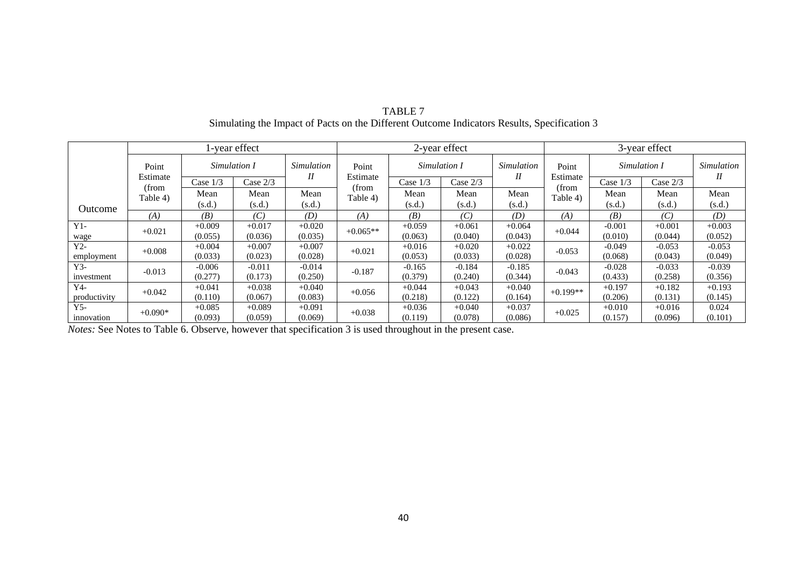|              |                   |            | l-year effect |          |                            |          | 2-year effect |                   | 3-year effect     |              |          |            |
|--------------|-------------------|------------|---------------|----------|----------------------------|----------|---------------|-------------------|-------------------|--------------|----------|------------|
|              | Point             |            | Simulation I  |          | <b>Simulation</b><br>Point |          | Simulation I  | <b>Simulation</b> | Point             | Simulation I |          | Simulation |
|              | Estimate          | Case $1/3$ | Case $2/3$    | I        | Estimate                   | Case 1/3 | Case $2/3$    | П                 | Estimate          | Case $1/3$   | Case 2/3 | Н          |
|              | (from<br>Table 4) | Mean       | Mean          | Mean     | (from<br>Table 4)          | Mean     | Mean          | Mean              | (from<br>Table 4) | Mean         | Mean     | Mean       |
| Outcome      |                   | (s.d.)     | (s.d.)        | (s.d.)   |                            | (s.d.)   | (s.d.)        | (s.d.)            |                   | (s.d.)       | (s.d.)   | (s.d.)     |
|              | (A)               | (B)        | (C)           | (D)      | (A)                        | (B)      | (C)           | (D)               | (A)               | (B)          | (C)      | (D)        |
| $Y1-$        | $+0.021$          | $+0.009$   | $+0.017$      | $+0.020$ | $+0.065**$                 | $+0.059$ | $+0.061$      | $+0.064$          | $+0.044$          | $-0.001$     | $+0.001$ | $+0.003$   |
| wage         |                   | (0.055)    | (0.036)       | (0.035)  |                            | (0.063)  | (0.040)       | (0.043)           |                   | (0.010)      | (0.044)  | (0.052)    |
| $Y2-$        | $+0.008$          | $+0.004$   | $+0.007$      | $+0.007$ | $+0.021$                   | $+0.016$ | $+0.020$      | $+0.022$          | $-0.053$          | $-0.049$     | $-0.053$ | $-0.053$   |
| employment   |                   | (0.033)    | (0.023)       | (0.028)  |                            | (0.053)  | (0.033)       | (0.028)           |                   | (0.068)      | (0.043)  | (0.049)    |
| $Y3-$        | $-0.013$          | $-0.006$   | $-0.011$      | $-0.014$ | $-0.187$                   | $-0.165$ | $-0.184$      | $-0.185$          | $-0.043$          | $-0.028$     | $-0.033$ | $-0.039$   |
| investment   |                   | (0.277)    | (0.173)       | (0.250)  |                            | (0.379)  | (0.240)       | (0.344)           |                   | (0.433)      | (0.258)  | (0.356)    |
| Y4-          | $+0.042$          | $+0.041$   | $+0.038$      | $+0.040$ | $+0.056$                   | $+0.044$ | $+0.043$      | $+0.040$          | $+0.199**$        | $+0.197$     | $+0.182$ | $+0.193$   |
| productivity |                   | (0.110)    | (0.067)       | (0.083)  |                            | (0.218)  | (0.122)       | (0.164)           |                   | (0.206)      | (0.131)  | (0.145)    |
| $Y$ 5-       | $+0.090*$         | $+0.085$   | $+0.089$      | $+0.091$ | $+0.038$                   | $+0.036$ | $+0.040$      | $+0.037$          | $+0.025$          | $+0.010$     | $+0.016$ | 0.024      |
| innovation   |                   | (0.093)    | (0.059)       | (0.069)  |                            | (0.119)  | (0.078)       | (0.086)           |                   | (0.157)      | (0.096)  | (0.101)    |

#### TABLE 7 Simulating the Impact of Pacts on the Different Outcome Indicators Results, Specification 3

*Notes:* See Notes to Table 6. Observe, however that specification 3 is used throughout in the present case.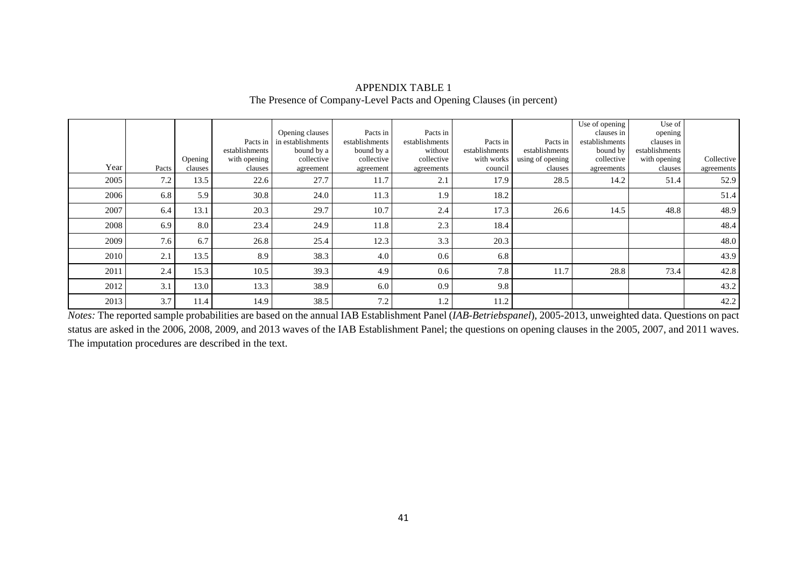|      |       |           |                |                   |                |                |                |                  | Use of opening | Use of         |            |
|------|-------|-----------|----------------|-------------------|----------------|----------------|----------------|------------------|----------------|----------------|------------|
|      |       |           |                | Opening clauses   | Pacts in       | Pacts in       |                |                  | clauses in     | opening        |            |
|      |       |           | Pacts in       | in establishments | establishments | establishments | Pacts in       | Pacts in         | establishments | clauses in     |            |
|      |       |           | establishments | bound by a        | bound by a     | without        | establishments | establishments   | bound by       | establishments |            |
|      |       | Opening ' | with opening   | collective        | collective     | collective     | with works     | using of opening | collective     | with opening   | Collective |
| Year | Pacts | clauses   | clauses        | agreement         | agreement      | agreements     | council        | clauses          | agreements     | clauses        | agreements |
| 2005 | 7.2   | 13.5      | 22.6           | 27.7              | 11.7           | 2.1            | 17.9           | 28.5             | 14.2           | 51.4           | 52.9       |
| 2006 | 6.8   | 5.9       | 30.8           | 24.0              | 11.3           | 1.9            | 18.2           |                  |                |                | 51.4       |
| 2007 | 6.4   | 13.1      | 20.3           | 29.7              | 10.7           | 2.4            | 17.3           | 26.6             | 14.5           | 48.8           | 48.9       |
| 2008 | 6.9   | 8.0       | 23.4           | 24.9              | 11.8           | 2.3            | 18.4           |                  |                |                | 48.4       |
| 2009 | 7.6   | 6.7       | 26.8           | 25.4              | 12.3           | 3.3            | 20.3           |                  |                |                | 48.0       |
| 2010 | 2.1   | 13.5      | 8.9            | 38.3              | 4.0            | 0.6            | 6.8            |                  |                |                | 43.9       |
| 2011 | 2.4   | 15.3      | 10.5           | 39.3              | 4.9            | 0.6            | 7.8            | 11.7             | 28.8           | 73.4           | 42.8       |
| 2012 | 3.1   | 13.0      | 13.3           | 38.9              | 6.0            | 0.9            | 9.8            |                  |                |                | 43.2       |
| 2013 | 3.7   | 11.4      | 14.9           | 38.5              | 7.2            | 1.2            | 11.2           |                  |                |                | 42.2       |

#### APPENDIX TABLE 1 The Presence of Company-Level Pacts and Opening Clauses (in percent)

*Notes:* The reported sample probabilities are based on the annual IAB Establishment Panel (*IAB-Betriebspanel*), 2005-2013, unweighted data. Questions on pact status are asked in the 2006, 2008, 2009, and 2013 waves of the IAB Establishment Panel; the questions on opening clauses in the 2005, 2007, and 2011 waves. The imputation procedures are described in the text.